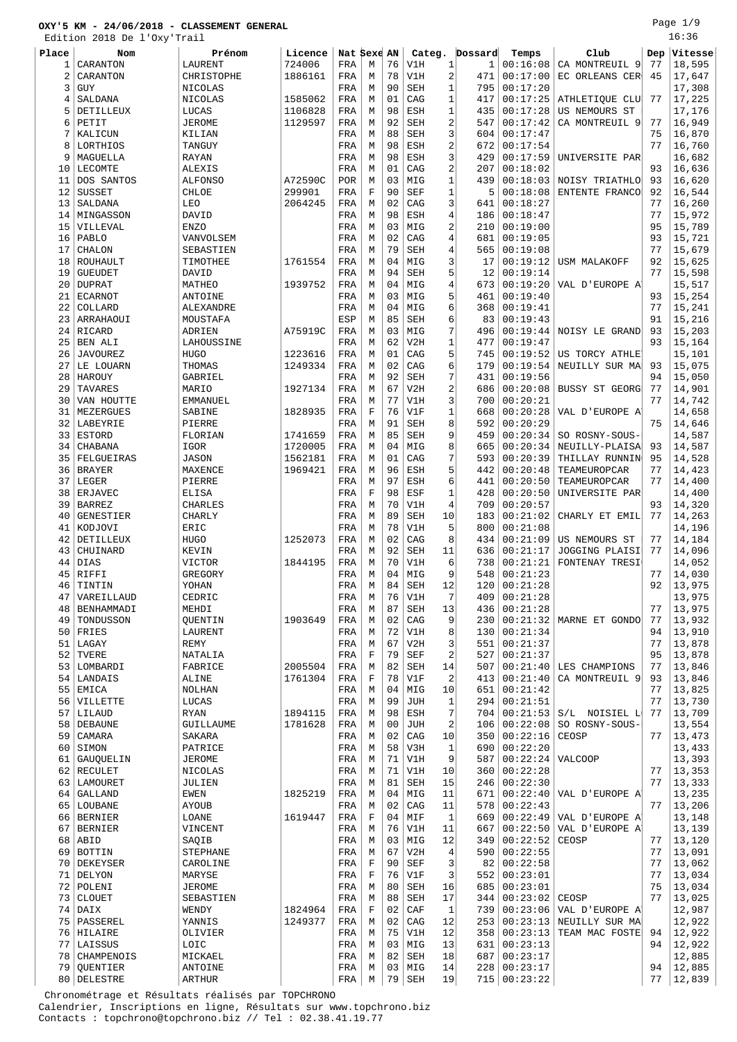Edition 2018 De l'Oxy'Trail

Page 1/9 16:36

|       | EATCION SATO DE<br>t ovi | <i>i</i> raii   |         |              |             |                |            |                         |         |                |                       |     |         |
|-------|--------------------------|-----------------|---------|--------------|-------------|----------------|------------|-------------------------|---------|----------------|-----------------------|-----|---------|
| Place | Nom                      | Prénom          | Licence | Nat Sexe AN  |             |                | Categ.     |                         | Dossard | Temps          | Club                  | Dep | Vitesse |
| 1     | CARANTON                 | LAURENT         | 724006  | FRA          | М           | 76             | V1H        | $\mathbf 1$             | 1       | 00:16:08       | CA MONTREUIL 9        | 77  | 18,595  |
| 2     | CARANTON                 | CHRISTOPHE      | 1886161 | FRA          | М           | 78             | V1H        | 2                       | 471     | 00:17:00       | EC ORLEANS CER        | 45  | 17,647  |
| 3     | <b>GUY</b>               | NICOLAS         |         | FRA          | M           | 90             | <b>SEH</b> | 1                       | 795     | 00:17:20       |                       |     | 17,308  |
|       |                          |                 |         |              |             |                |            |                         |         |                |                       |     |         |
| 4     | SALDANA                  | NICOLAS         | 1585062 | FRA          | M           | 01             | CAG        | 1                       | 417     | 00:17:25       | ATHLETIQUE CLU        | 77  | 17,225  |
| 5     | DETILLEUX                | LUCAS           | 1106828 | FRA          | М           | 98             | ESH        | $\mathbf{1}$            | 435     | 00:17:28       | US NEMOURS ST         |     | 17,176  |
| 6     | PETIT                    | <b>JEROME</b>   | 1129597 | FRA          | M           | 92             | SEH        | 2                       | 547     | 00:17:42       | CA MONTREUIL 9        | 77  | 16,949  |
| 7     | KALICUN                  | KILIAN          |         | FRA          | М           | 88             | SEH        | 3                       | 604     | 00:17:47       |                       | 75  | 16,870  |
| 8     | LORTHIOS                 | TANGUY          |         | FRA          | M           | 98             | ESH        | 2                       | 672     | 00:17:54       |                       | 77  | 16,760  |
| 9     | MAGUELLA                 | RAYAN           |         | FRA          | M           | 98             | ESH        | 3                       | 429     | 00:17:59       | UNIVERSITE PAR        |     | 16,682  |
| 10    | LECOMTE                  | <b>ALEXIS</b>   |         | FRA          | M           | 01             | CAG        | 2                       | 207     | 00:18:02       |                       | 93  | 16,636  |
| 11    | DOS SANTOS               | <b>ALFONSO</b>  | A72590C | POR          | М           | 03             | MIG        | 1                       | 439     | 00:18:03       | NOISY TRIATHLO        | 93  | 16,620  |
|       |                          |                 |         |              |             |                |            |                         |         |                |                       |     |         |
| 12    | <b>SUSSET</b>            | CHLOE           | 299901  | FRA          | $\mathbf F$ | 90             | <b>SEF</b> | 1                       | 5       | 00:18:08       | ENTENTE FRANCO        | 92  | 16,544  |
| 13    | SALDANA                  | LEO             | 2064245 | FRA          | M           | 02             | CAG        | 3                       | 641     | 00:18:27       |                       | 77  | 16,260  |
| 14    | MINGASSON                | DAVID           |         | FRA          | М           | 98             | ESH        | 4                       | 186     | 00:18:47       |                       | 77  | 15,972  |
| 15    | VILLEVAL                 | <b>ENZO</b>     |         | FRA          | М           | 03             | MIG        | 2                       | 210     | 00:19:00       |                       | 95  | 15,789  |
| 16    | PABLO                    | VANVOLSEM       |         | FRA          | M           | 02             | CAG        | 4                       | 681     | 00:19:05       |                       | 93  | 15,721  |
| 17    | CHALON                   | SEBASTIEN       |         | FRA          | М           | 79             | SEH        | 4                       | 565     | 00:19:08       |                       | 77  | 15,679  |
| 18    | <b>ROUHAULT</b>          | TIMOTHEE        | 1761554 | FRA          | M           | 04             | MIG        | 3                       | 17      | 00:19:12       | USM MALAKOFF          | 92  | 15,625  |
| 19    | <b>GUEUDET</b>           | DAVID           |         | FRA          | М           | 94             | <b>SEH</b> | 5                       | 12      | 00:19:14       |                       | 77  | 15,598  |
|       | <b>DUPRAT</b>            |                 |         |              | M           |                |            |                         |         |                |                       |     |         |
| 20    |                          | MATHEO          | 1939752 | FRA          |             | 04             | MIG        | 4                       | 673     | 00:19:20       | VAL D'EUROPE A        |     | 15,517  |
| 21    | <b>ECARNOT</b>           | ANTOINE         |         | FRA          | М           | 03             | MIG        | 5                       | 461     | 00:19:40       |                       | 93  | 15,254  |
| 22    | COLLARD                  | ALEXANDRE       |         | FRA          | М           | 04             | MIG        | 6                       | 368     | 00:19:41       |                       | 77  | 15,241  |
| 23    | ARRAHAOUI                | MOUSTAFA        |         | ESP          | М           | 85             | SEH        | 6                       | 83      | 00:19:43       |                       | 91  | 15,216  |
| 24    | RICARD                   | ADRIEN          | A75919C | FRA          | M           | 03             | MIG        | 7                       | 496     | 00:19:44       | NOISY LE GRAND        | 93  | 15,203  |
| 25    | BEN ALI                  | LAHOUSSINE      |         | FRA          | M           | 62             | V2H        | 1                       | 477     | 00:19:47       |                       | 93  | 15,164  |
| 26    | <b>JAVOUREZ</b>          | <b>HUGO</b>     | 1223616 | FRA          | M           | 01             | CAG        | 5                       | 745     | 00:19:52       | US TORCY ATHLET       |     | 15,101  |
| 27    | LE LOUARN                | THOMAS          | 1249334 | FRA          | М           | 02             | CAG        | 6                       | 179     | 00:19:54       | NEUILLY SUR MA        | 93  | 15,075  |
|       |                          | <b>GABRIEL</b>  |         |              |             |                |            | 7                       |         |                |                       | 94  | 15,050  |
| 28    | HAROUY                   |                 |         | FRA          | М           | 92             | <b>SEH</b> |                         | 431     | 00:19:56       |                       |     |         |
| 29    | TAVARES                  | MARIO           | 1927134 | FRA          | M           | 67             | V2H        | 2                       | 686     | 00:20:08       | <b>BUSSY ST GEORG</b> | 77  | 14,901  |
| 30    | VAN HOUTTE               | EMMANUEL        |         | FRA          | М           | 77             | V1H        | 3                       | 700     | 00:20:21       |                       | 77  | 14,742  |
| 31    | MEZERGUES                | SABINE          | 1828935 | FRA          | $\mathbf F$ | 76             | V1F        | 1                       | 668     | 00:20:28       | VAL D'EUROPE A        |     | 14,658  |
| 32    | LABEYRIE                 | PIERRE          |         | FRA          | М           | 91             | SEH        | 8                       | 592     | 00:20:29       |                       | 75  | 14,646  |
| 33    | <b>ESTORD</b>            | FLORIAN         | 1741659 | FRA          | M           | 85             | SEH        | 9                       | 459     | 00:20:34       | SO ROSNY-SOUS-        |     | 14,587  |
| 34    | CHABANA                  | IGOR            | 1720005 | FRA          | M           | 04             | MIG        | 8                       | 665     | 00:20:34       | NEUILLY-PLAISA        | 93  | 14,587  |
|       |                          |                 |         |              |             | 01             |            | 7                       |         | 00:20:39       |                       | 95  |         |
| 35    | FELGUEIRAS               | <b>JASON</b>    | 1562181 | FRA          | М           |                | CAG        |                         | 593     |                | THILLAY RUNNIN        |     | 14,528  |
| 36    | <b>BRAYER</b>            | MAXENCE         | 1969421 | FRA          | M           | 96             | ESH        | 5                       | 442     | 00:20:48       | TEAMEUROPCAR          | 77  | 14,423  |
| 37    | LEGER                    | PIERRE          |         | FRA          | M           | 97             | ESH        | 6                       | 441     | 00:20:50       | TEAMEUROPCAR          | 77  | 14,400  |
| 38    | ERJAVEC                  | ELISA           |         | FRA          | $\mathbf F$ | 98             | ESF        | 1                       | 428     | 00:20:50       | UNIVERSITE PAR        |     | 14,400  |
| 39    | <b>BARREZ</b>            | CHARLES         |         | FRA          | М           | 70             | V1H        | 4                       | 709     | 00:20:57       |                       | 93  | 14,320  |
| 40    | GENESTIER                | <b>CHARLY</b>   |         | FRA          | М           | 89             | <b>SEH</b> | 10                      | 183     | 00:21:02       | CHARLY ET EMIL        | 77  | 14,263  |
| 41    | KODJOVI                  | ERIC            |         | FRA          | M           | 78             | V1H        | 5                       | 800     | 00:21:08       |                       |     | 14,196  |
| 42    | DETILLEUX                | <b>HUGO</b>     | 1252073 | FRA          | M           | 02             | CAG        | 8                       | 434     | 00:21:09       | US NEMOURS ST         | 77  | 14,184  |
| 43    | CHUINARD                 | KEVIN           |         | FRA          | М           | 92             | SEH        | 11                      | 636     | 00:21:17       | JOGGING PLAISI        | 77  | 14,096  |
|       |                          |                 |         |              |             |                |            |                         |         |                |                       |     |         |
| 44    | <b>DIAS</b>              | <b>VICTOR</b>   | 1844195 | FRA          | М           | 70             | V1H        | 6                       | 738     | 00:21:21       | FONTENAY TRESI        |     | 14,052  |
| 45    | RIFFI                    | GREGORY         |         | FRA          | M           | 04             | MIG        | 9                       | 548     | 00:21:23       |                       | 77  | 14,030  |
| 46    | TINTIN                   | YOHAN           |         | FRA          | M           | 84             | SEH        | 12                      | 120     | 00:21:28       |                       | 92  | 13,975  |
| 47    | VAREILLAUD               | CEDRIC          |         | FRA          | М           | 76             | V1H        | 7                       | 409     | 00:21:28       |                       |     | 13,975  |
| 48    | BENHAMMADI               | MEHDI           |         | FRA          | М           | 87             | SEH        | 13                      | 436     | 00:21:28       |                       | 77  | 13,975  |
| 49    | TONDUSSON                | QUENTIN         | 1903649 | FRA          | M           | 02             | CAG        | 9                       | 230     | 00:21:32       | MARNE ET GONDO        | 77  | 13,932  |
|       | $50$   FRIES             | LAURENT         |         | FRA          | M           | 72             | V1H        | 8                       | 130     | 00:21:34       |                       | 94  | 13,910  |
| 51    | LAGAY                    | REMY            |         | FRA          | М           | 67             | V2H        | 3                       | 551     | 00:21:37       |                       | 77  | 13,878  |
|       |                          |                 |         |              | $\mathbf F$ | 79             |            | 2                       |         |                |                       |     |         |
| 52    | TVERE                    | NATALIA         |         | FRA          |             |                | SEF        |                         | 527     | 00:21:37       |                       | 95  | 13,878  |
| 53    | LOMBARDI                 | FABRICE         | 2005504 | FRA          | М           | 82             | SEH        | 14                      | 507     | 00:21:40       | LES CHAMPIONS         | 77  | 13,846  |
| 54    | LANDAIS                  | ALINE           | 1761304 | FRA          | $\mathbf F$ | 78             | V1F        | 2                       | 413     | 00:21:40       | CA MONTREUIL 9        | 93  | 13,846  |
|       | 55 EMICA                 | <b>NOLHAN</b>   |         | FRA          | М           | 04             | MIG        | 10                      | 651     | 00:21:42       |                       | 77  | 13,825  |
|       | 56 VILLETTE              | LUCAS           |         | FRA          | М           | 99             | JUH        | 1                       | 294     | 00:21:51       |                       | 77  | 13,730  |
|       | $57$   LILAUD            | RYAN            | 1894115 | FRA          | М           | 98             | ESH        | 7                       | 704     | 00:21:53       | S/L NOISIEL L         | 77  | 13,709  |
| 58    | DEBAUNE                  | GUILLAUME       | 1781628 | FRA          | M           | 0 <sub>0</sub> | <b>JUH</b> | $\overline{\mathbf{c}}$ | 106     | 00:22:08       | SO ROSNY-SOUS-        |     | 13,554  |
| 59    | CAMARA                   | SAKARA          |         | FRA          | M           | 02             | CAG        | 10                      | 350     | 00:22:16       | CEOSP                 | 77  | 13,473  |
|       |                          |                 |         |              |             |                |            |                         |         |                |                       |     |         |
| 60    | SIMON                    | PATRICE         |         | FRA          | М           | 58             | V3H        | 1                       | 690     | 00:22:20       |                       |     | 13,433  |
| 61    | GAUQUELIN                | <b>JEROME</b>   |         | FRA          | М           | 71             | V1H        | 9                       | 587     | 00:22:24       | <b>VALCOOP</b>        |     | 13,393  |
|       | 62 RECULET               | NICOLAS         |         | FRA          | М           | 71             | V1H        | 10                      | 360     | 00:22:28       |                       | 77  | 13,353  |
|       | 63   LAMOURET            | JULIEN          |         | FRA          | M           | 81             | SEH        | 15                      | 246     | 00:22:30       |                       | 77  | 13,333  |
|       | 64 GALLAND               | EWEN            | 1825219 | FRA          | M           | 04             | MIG        | 11                      | 671     | 00:22:40       | VAL D'EUROPE A        |     | 13,235  |
|       | 65   LOUBANE             | <b>AYOUB</b>    |         | FRA          | М           | 02             | CAG        | 11                      | 578     | 00:22:43       |                       | 77  | 13,206  |
|       | 66 BERNIER               | LOANE           | 1619447 | FRA          | $\mathbf F$ | 04             | MIF        | $\mathbf{1}$            | 669     | 00:22:49       | VAL D'EUROPE A        |     | 13,148  |
|       |                          |                 |         |              |             |                |            |                         |         |                |                       |     |         |
| 67    | <b>BERNIER</b>           | VINCENT         |         | FRA          | M           | 76             | V1H        | 11                      | 667     | 00:22:50       | VAL D'EUROPE A        |     | 13,139  |
|       | $68   A\text{BID}$       | SAQIB           |         | FRA          | М           | 03             | MIG        | 12                      | 349     | 00:22:52       | CEOSP                 | 77  | 13,120  |
| 69    | BOTTIN                   | <b>STEPHANE</b> |         | $_{\rm FRA}$ | М           | 67             | V2H        | $\bf 4$                 | 590     | 00:22:55       |                       | 77  | 13,091  |
|       | 70 DEKEYSER              | CAROLINE        |         | FRA          | F           | 90             | SEF        | 3                       | 82      | 00:22:58       |                       | 77  | 13,062  |
|       | 71   DELYON              | MARYSE          |         | FRA          | $\mathbf F$ | 76             | V1F        | 3                       | 552     | 00:23:01       |                       | 77  | 13,034  |
|       | 72   POLENI              | <b>JEROME</b>   |         | FRA          | М           | 80             | <b>SEH</b> | 16                      | 685     | 00:23:01       |                       | 75  | 13,034  |
|       | 73 CLOUET                | SEBASTIEN       |         | FRA          | М           | 88             | SEH        | 17                      | 344     | 00:23:02       | CEOSP                 | 77  | 13,025  |
|       | $74$ DAIX                | WENDY           | 1824964 | FRA          | $\mathbf F$ | 02             | CAF        | 1                       | 739     | 00:23:06       | VAL D'EUROPE A'       |     | 12,987  |
|       | 75   PASSEREL            |                 |         |              | M           | 02             | CAG        | 12                      |         |                |                       |     |         |
|       |                          | YANNIS          | 1249377 | FRA          |             |                |            |                         | 253     | 00:23:13       | NEUILLY SUR MA        |     | 12,922  |
|       | 76   HILAIRE             | OLIVIER         |         | FRA          | М           | 75             | V1H        | 12                      | 358     | 00:23:13       | TEAM MAC FOSTE        | 94  | 12,922  |
| 77    | LAISSUS                  | LOIC            |         | FRA          | М           | 03             | MIG        | 13                      | 631     | 00:23:13       |                       | 94  | 12,922  |
| 78    | CHAMPENOIS               | MICKAEL         |         | FRA          | М           | 82             | <b>SEH</b> | 18                      | 687     | 00:23:17       |                       |     | 12,885  |
| 79    | QUENTIER                 | ANTOINE         |         | FRA          | М           | 03             | MIG        | 14                      | 228     | 00:23:17       |                       | 94  | 12,885  |
|       | 80 DELESTRE              | ARTHUR          |         | FRA          | М           | 79             | SEH        | 19                      |         | 715   00:23:22 |                       | 77  | 12,839  |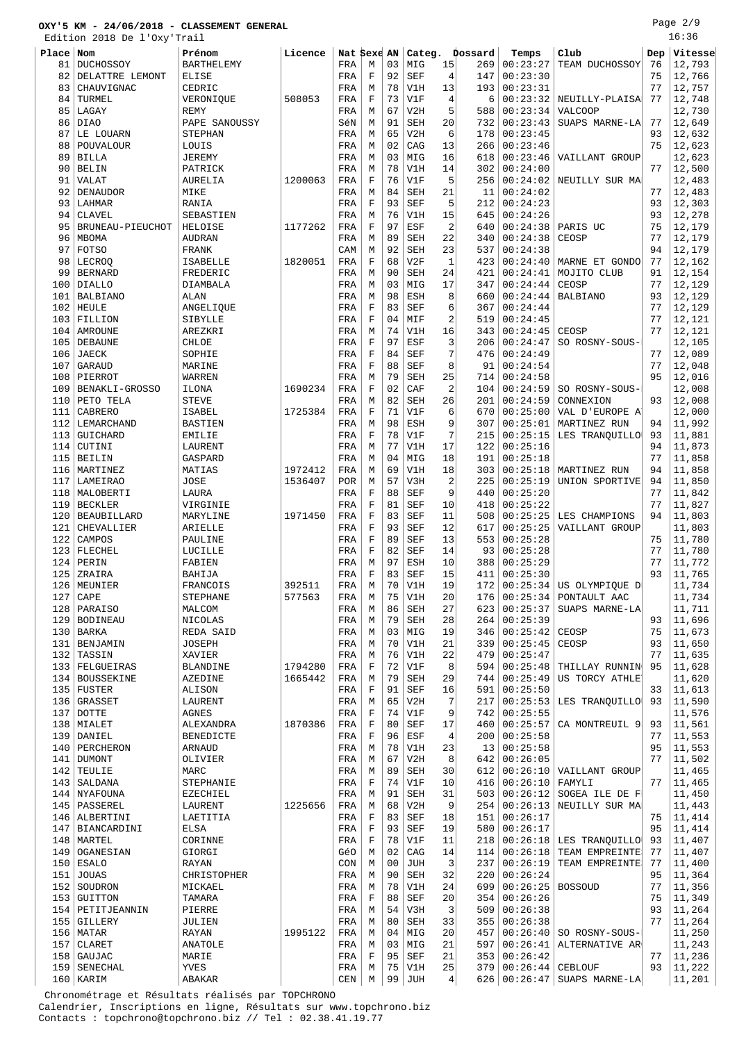Edition 2018 De l'Oxy'Trail

| Place | Nom                | Prénom            | Licence |     | Nat Sexe AN |    | Categ.     |                | Dossard | Temps                | Club                            | Dep | Vitesse |
|-------|--------------------|-------------------|---------|-----|-------------|----|------------|----------------|---------|----------------------|---------------------------------|-----|---------|
| 81    | <b>DUCHOSSOY</b>   | <b>BARTHELEMY</b> |         | FRA | М           | 03 | MIG        | 15             | 269     | 00:23:27             | TEAM DUCHOSSOY                  | 76  | 12,793  |
| 82    | DELATTRE LEMONT    | ELISE             |         | FRA | F           | 92 | <b>SEF</b> | $\overline{4}$ | 147     | 00:23:30             |                                 | 75  | 12,766  |
| 83    | CHAUVIGNAC         | CEDRIC            |         | FRA | М           | 78 | V1H        | 13             | 193     | 00:23:31             |                                 | 77  | 12,757  |
|       |                    |                   |         |     |             | 73 |            | $\overline{4}$ |         | 00:23:32             |                                 | 77  |         |
| 84    | TURMEL             | VERONIQUE         | 508053  | FRA | F           |    | V1F        |                | 6       |                      | NEUILLY-PLAISA                  |     | 12,748  |
| 85    | LAGAY              | <b>REMY</b>       |         | FRA | М           | 67 | V2H        | 5              | 588     | 00:23:34             | <b>VALCOOP</b>                  |     | 12,730  |
| 86    | DIA0               | PAPE SANOUSSY     |         | SéN | М           | 91 | <b>SEH</b> | 20             | 732     | 00:23:43             | SUAPS MARNE-LA                  | 77  | 12,649  |
| 87    | LE LOUARN          | STEPHAN           |         | FRA | M           | 65 | V2H        | 6              | 178     | 00:23:45             |                                 | 93  | 12,632  |
| 88    | POUVALOUR          | LOUIS             |         | FRA | M           | 02 | CAG        | 13             | 266     | 00:23:46             |                                 | 75  | 12,623  |
| 89    | <b>BILLA</b>       | <b>JEREMY</b>     |         | FRA | M           | 03 | MIG        | 16             | 618     | 00:23:46             | VAILLANT GROUP                  |     | 12,623  |
| 90    | <b>BELIN</b>       | PATRICK           |         | FRA | М           | 78 | V1H        | 14             | 302     | 00:24:00             |                                 | 77  | 12,500  |
| 91    | VALAT              | <b>AURELIA</b>    | 1200063 | FRA | F           | 76 | V1F        | 5              | 256     | 00:24:02             | NEUILLY SUR MA                  |     | 12,483  |
| 92    | <b>DENAUDOR</b>    | MIKE              |         | FRA | М           | 84 | <b>SEH</b> | 21             | 11      | 00:24:02             |                                 | 77  | 12,483  |
| 93    | LAHMAR             | RANIA             |         | FRA | F           | 93 | <b>SEF</b> | 5              | 212     | 00:24:23             |                                 | 93  | 12,303  |
| 94    | <b>CLAVEL</b>      | SEBASTIEN         |         | FRA | M           | 76 | V1H        | 15             | 645     | 00:24:26             |                                 | 93  | 12,278  |
|       |                    |                   |         |     |             |    |            |                |         |                      |                                 |     |         |
| 95    | BRUNEAU-PIEUCHOT   | HELOISE           | 1177262 | FRA | F           | 97 | ESF        | $\overline{c}$ | 640     | 00:24:38             | PARIS UC                        | 75  | 12,179  |
| 96    | <b>MBOMA</b>       | <b>AUDRAN</b>     |         | FRA | M           | 89 | <b>SEH</b> | 22             | 340     | 00:24:38             | CEOSP                           | 77  | 12,179  |
| 97    | <b>FOTSO</b>       | <b>FRANK</b>      |         | CAM | M           | 92 | SEH        | 23             | 537     | 00:24:38             |                                 | 94  | 12,179  |
| 98    | LECROQ             | ISABELLE          | 1820051 | FRA | $\mathbf F$ | 68 | V2F        | 1              | 423     | 00:24:40             | MARNE ET GONDO                  | 77  | 12,162  |
| 99    | <b>BERNARD</b>     | FREDERIC          |         | FRA | М           | 90 | SEH        | 24             | 421     | 00:24:41             | MOJITO CLUB                     | 91  | 12,154  |
| 100   | <b>DIALLO</b>      | DIAMBALA          |         | FRA | М           | 03 | MIG        | 17             | 347     | 00:24:44             | CEOSP                           | 77  | 12,129  |
| 101   | <b>BALBIANO</b>    | ALAN              |         | FRA | М           | 98 | ESH        | 8              | 660     | 00:24:44             | <b>BALBIANO</b>                 | 93  | 12,129  |
| 102   | HEULE              | ANGELIQUE         |         | FRA | F           | 83 | <b>SEF</b> | 6              | 367     | 00:24:44             |                                 | 77  | 12,129  |
| 103   | FILLION            | SIBYLLE           |         | FRA | $\mathbf F$ | 04 | MIF        | $\overline{a}$ | 519     | 00:24:45             |                                 | 77  | 12,121  |
| 104   | AMROUNE            | AREZKRI           |         | FRA | M           | 74 | V1H        | 16             | 343     | 00:24:45             | CEOSP                           | 77  | 12,121  |
|       |                    |                   |         |     |             | 97 |            | 3              |         |                      |                                 |     |         |
| 105   | DEBAUNE            | CHLOE             |         | FRA | $\mathbf F$ |    | ESF        |                | 206     | 00:24:47             | SO ROSNY-SOUS-                  |     | 12,105  |
| 106   | <b>JAECK</b>       | SOPHIE            |         | FRA | F           | 84 | <b>SEF</b> | 7              | 476     | 00:24:49             |                                 | 77  | 12,089  |
| 107   | GARAUD             | MARINE            |         | FRA | F           | 88 | <b>SEF</b> | 8              | 91      | 00:24:54             |                                 | 77  | 12,048  |
| 108   | PIERROT            | WARREN            |         | FRA | М           | 79 | SEH        | 25             | 714     | 00:24:58             |                                 | 95  | 12,016  |
| 109   | BENAKLI-GROSSO     | ILONA             | 1690234 | FRA | F           | 02 | CAF        | $\overline{2}$ | 104     | 00:24:59             | SO ROSNY-SOUS-                  |     | 12,008  |
| 110   | PETO TELA          | <b>STEVE</b>      |         | FRA | М           | 82 | <b>SEH</b> | 26             | 201     | 00:24:59             | CONNEXION                       | 93  | 12,008  |
| 111   | CABRERO            | ISABEL            | 1725384 | FRA | F           | 71 | V1F        | 6              | 670     | 00:25:00             | VAL D'EUROPE A'                 |     | 12,000  |
| 112   | LEMARCHAND         | <b>BASTIEN</b>    |         | FRA | М           | 98 | ESH        | 9              | 307     | 00:25:01             | MARTINEZ RUN                    | 94  | 11,992  |
| 113   | GUICHARD           | <b>EMILIE</b>     |         | FRA | F           | 78 | V1F        | 7              | 215     | 00:25:15             | LES TRANQUILLO                  | 93  | 11,881  |
|       |                    |                   |         |     |             | 77 |            | 17             |         | 00:25:16             |                                 | 94  |         |
| 114   | CUTINI             | LAURENT           |         | FRA | М           |    | V1H        |                | 122     |                      |                                 |     | 11,873  |
| 115   | <b>BEILIN</b>      | GASPARD           |         | FRA | М           | 04 | MIG        | 18             | 191     | 00:25:18             |                                 | 77  | 11,858  |
| 116   | MARTINEZ           | MATIAS            | 1972412 | FRA | М           | 69 | V1H        | 18             | 303     | 00:25:18             | MARTINEZ RUN                    | 94  | 11,858  |
| 117   | LAMEIRAO           | JOSE              | 1536407 | POR | М           | 57 | V3H        | $\overline{2}$ | 225     | 00:25:19             | UNION SPORTIVE                  | 94  | 11,850  |
| 118   | MALOBERTI          | LAURA             |         | FRA | F           | 88 | <b>SEF</b> | 9              | 440     | 00:25:20             |                                 | 77  | 11,842  |
| 119   | <b>BECKLER</b>     | VIRGINIE          |         | FRA | F           | 81 | <b>SEF</b> | 10             | 418     | 00:25:22             |                                 | 77  | 11,827  |
| 120   | BEAUBILLARD        | MARYLINE          | 1971450 | FRA | F           | 83 | SEF        | 11             | 508     | 00:25:25             | LES CHAMPIONS                   | 94  | 11,803  |
| 121   | CHEVALLIER         | ARIELLE           |         | FRA | $\mathbf F$ | 93 | <b>SEF</b> | 12             | 617     | 00:25:25             | VAILLANT GROUP                  |     | 11,803  |
| 122   | CAMPOS             | PAULINE           |         | FRA | F           | 89 | SEF        | 13             | 553     | 00:25:28             |                                 | 75  | 11,780  |
| 123   | FLECHEL            | LUCILLE           |         | FRA | F           | 82 | <b>SEF</b> | 14             | 93      | 00:25:28             |                                 | 77  | 11,780  |
| 124   | PERIN              | FABIEN            |         | FRA | М           | 97 | <b>ESH</b> | 10             | 388     | 00:25:29             |                                 | 77  | 11,772  |
| 125   |                    |                   |         |     | F           | 83 | <b>SEF</b> | 15             |         | 00:25:30             |                                 | 93  | 11,765  |
|       | ZRAIRA             | BAHIJA            |         | FRA |             |    |            |                | 411     |                      |                                 |     |         |
|       | 126   MEUNIER      | FRANCOIS          | 392511  | FRA | М           | 70 | V1H        | 19             |         |                      | 172   00:25:34   US OLYMPIQUE D |     | 11,734  |
| 127   | CAPE               | STEPHANE          | 577563  | FRA | M           | 75 | V1H        | 20             |         |                      | 176   00:25:34   PONTAULT AAC   |     | 11,734  |
|       | 128   PARAISO      | MALCOM            |         | FRA | М           | 86 | SEH        | 27             | 623     | 00:25:37             | SUAPS MARNE-LA                  |     | 11,711  |
|       | 129   BODINEAU     | NICOLAS           |         | FRA | М           | 79 | SEH        | 28             | 264     | 00:25:39             |                                 | 93  | 11,696  |
|       | $130$ BARKA        | REDA SAID         |         | FRA | М           | 03 | MIG        | 19             | 346     | 00:25:42             | CEOSP                           | 75  | 11,673  |
|       | 131   BENJAMIN     | JOSEPH            |         | FRA | М           | 70 | V1H        | 21             | 339     | 00:25:45             | CEOSP                           | 93  | 11,650  |
|       | 132 TASSIN         | XAVIER            |         | FRA | М           | 76 | V1H        | 22             | 479     | 00:25:47             |                                 | 77  | 11,635  |
|       | 133 FELGUEIRAS     | BLANDINE          | 1794280 | FRA | F           | 72 | V1F        | 8              | 594     | 00:25:48             | THILLAY RUNNIN                  | 95  | 11,628  |
|       | 134   BOUSSEKINE   | AZEDINE           | 1665442 | FRA | М           | 79 | SEH        | 29             | 744     | 00:25:49             | US TORCY ATHLE                  |     | 11,620  |
|       | $135$ FUSTER       | ALISON            |         | FRA | F           | 91 | SEF        | 16             | 591     | 00:25:50             |                                 | 33  | 11,613  |
|       |                    |                   |         |     |             | 65 |            | 7              |         |                      | LES TRANOUILLO                  | 93  | 11,590  |
|       | 136 GRASSET        | LAURENT           |         | FRA | М           |    | V2H        |                | 217     | 00:25:53             |                                 |     |         |
|       | 137 DOTTE          | <b>AGNES</b>      |         | FRA | $\mathbf F$ | 74 | V1F        | 9              | 742     | 00:25:55             |                                 |     | 11,576  |
|       | 138 MIALET         | ALEXANDRA         | 1870386 | FRA | F           | 80 | SEF        | 17             | 460     | 00:25:57             | CA MONTREUIL 9                  | 93  | 11,561  |
|       | 139 DANIEL         | BENEDICTE         |         | FRA | F           | 96 | ESF        | $\overline{4}$ | 200     | 00:25:58             |                                 | 77  | 11,553  |
|       | 140   PERCHERON    | ARNAUD            |         | FRA | М           | 78 | V1H        | 23             | 13      | 00:25:58             |                                 | 95  | 11,553  |
|       | 141 DUMONT         | OLIVIER           |         | FRA | М           | 67 | V2H        | 8              | 642     | 00:26:05             |                                 | 77  | 11,502  |
|       | $142$ TEULIE       | MARC              |         | FRA | М           | 89 | SEH        | 30             | 612     | 00:26:10             | VAILLANT GROUP                  |     | 11,465  |
|       | 143   SALDANA      | STEPHANIE         |         | FRA | F           | 74 | V1F        | 10             | 416     | 00:26:10             | FAMYLI                          | 77  | 11,465  |
|       | 144   NYAFOUNA     | EZECHIEL          |         | FRA | М           | 91 | SEH        | 31             | 503     | 00:26:12             | SOGEA ILE DE F                  |     | 11,450  |
|       | 145   PASSEREL     | LAURENT           | 1225656 | FRA | M           | 68 | V2H        | 9              | 254     | 00:26:13             | NEUILLY SUR MA                  |     | 11,443  |
|       | 146   ALBERTINI    | LAETITIA          |         | FRA | $\mathbf F$ | 83 | SEF        | 18             | 151     | 00:26:17             |                                 | 75  | 11,414  |
|       |                    |                   |         |     |             |    |            |                |         |                      |                                 |     |         |
|       | 147   BIANCARDINI  | ELSA              |         | FRA | F           | 93 | SEF        | 19             | 580     | 00:26:17             |                                 | 95  | 11,414  |
|       | 148   MARTEL       | CORINNE           |         | FRA | F           | 78 | V1F        | 11             | 218     | 00:26:18             | LES TRANQUILLO                  | 93  | 11,407  |
|       | 149   OGANESIAN    | GIORGI            |         | GéO | М           | 02 | CAG        | 14             | 114     | 00:26:18             | TEAM EMPREINTE                  | 77  | 11,407  |
|       | $150$ ESALO        | RAYAN             |         | CON | М           | 00 | JUH        | 3              | 237     | 00:26:19             | TEAM EMPREINTE                  | 77  | 11,400  |
|       | $151$ JOUAS        | CHRISTOPHER       |         | FRA | М           | 90 | SEH        | 32             |         | 220   00:26:24       |                                 | 95  | 11,364  |
|       | 152 SOUDRON        | MICKAEL           |         | FRA | М           | 78 | V1H        | 24             | 699     | 00:26:25             | <b>BOSSOUD</b>                  | 77  | 11,356  |
|       | 153 GUITTON        | TAMARA            |         | FRA | F           | 88 | SEF        | 20             |         | 354   00:26:26       |                                 | 75  | 11,349  |
|       | 154   PETITJEANNIN | PIERRE            |         | FRA | М           | 54 | V3H        | 3              | 509     | 00:26:38             |                                 | 93  | 11,264  |
|       | 155 GILLERY        | JULIEN            |         | FRA | М           | 80 | SEH        | 33             | 355     | 00:26:38             |                                 | 77  | 11,264  |
|       | $156$ MATAR        | RAYAN             | 1995122 | FRA | М           | 04 | MIG        | 20             | 457     | 00:26:40             | SO ROSNY-SOUS-                  |     | 11,250  |
|       | $157$ CLARET       | ANATOLE           |         | FRA | М           | 03 | MIG        | 21             | 597     | 00:26:41             | ALTERNATIVE AR                  |     | 11,243  |
|       |                    |                   |         |     |             |    |            |                |         |                      |                                 |     |         |
|       | 158 GAUJAC         | MARIE             |         | FRA | F           | 95 | SEF        | 21             | 353     | 00:26:42             |                                 | 77  | 11,236  |
|       | 159   SENECHAL     | YVES              |         | FRA | М           |    | $75$ V1H   | 25             |         | 379 00:26:44 CEBLOUF |                                 | 93  | 11,222  |

160 KARIM | ABAKAR | CEN M 99 JUH 4 626 00:26:47 SUAPS MARNE-LA | 11,201

 Chronométrage et Résultats réalisés par TOPCHRONO Calendrier, Inscriptions en ligne, Résultats sur www.topchrono.biz Contacts : topchrono@topchrono.biz // Tel : 02.38.41.19.77

# Page 2/9 16:36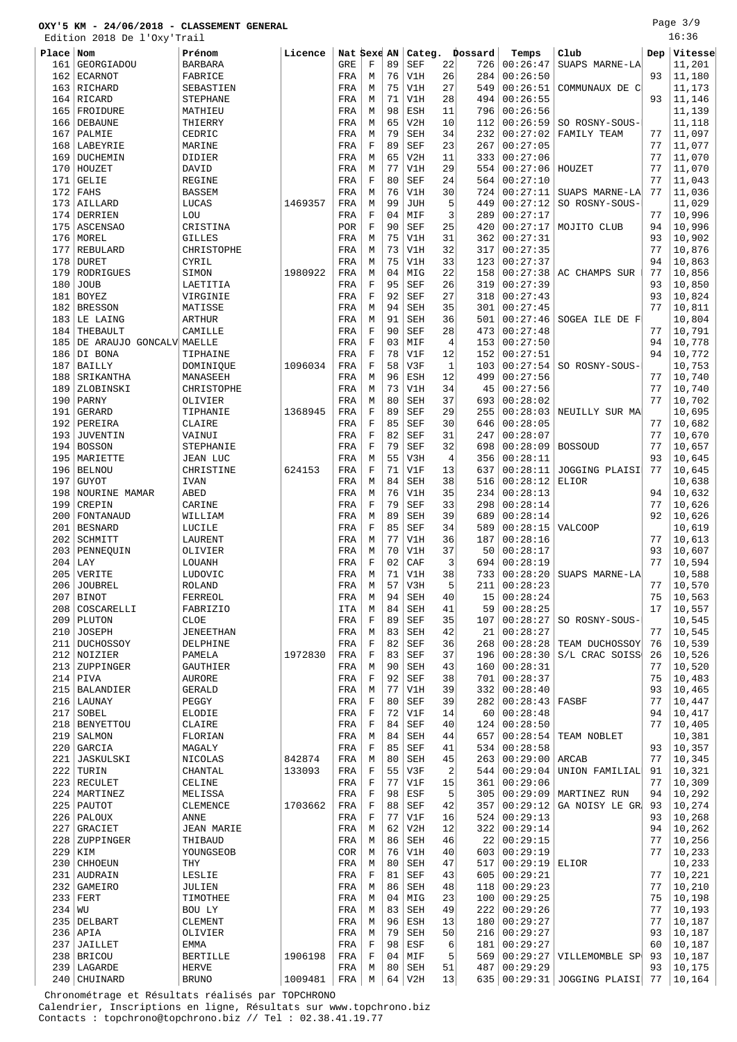Edition 2018 De l'Oxy'Trail

| Place    | Nom                      | Prénom           | Licence | Nat Sexe AN |             |    | Categ.     |                | Dossard | Temps         | Club            | Dep | Vitesse |
|----------|--------------------------|------------------|---------|-------------|-------------|----|------------|----------------|---------|---------------|-----------------|-----|---------|
| 161      | GEORGIADOU               | <b>BARBARA</b>   |         | GRE         | F           | 89 | <b>SEF</b> | 22             | 726     | 00:26:47      | SUAPS MARNE-LA  |     | 11,201  |
| 162      | <b>ECARNOT</b>           | FABRICE          |         | FRA         | М           | 76 | V1H        | 26             | 284     | 00:26:50      |                 | 93  | 11,180  |
|          | 163 RICHARD              | SEBASTIEN        |         | FRA         | М           | 75 | V1H        | 27             | 549     | 00:26:51      | COMMUNAUX DE CI |     | 11,173  |
|          |                          |                  |         |             |             | 71 |            | 28             |         |               |                 |     |         |
| 164      | RICARD                   | <b>STEPHANE</b>  |         | FRA         | М           |    | V1H        |                | 494     | 00:26:55      |                 | 93  | 11,146  |
| 165      | FROIDURE                 | MATHIEU          |         | FRA         | М           | 98 | <b>ESH</b> | 11             | 796     | 00:26:56      |                 |     | 11,139  |
| 166      | <b>DEBAUNE</b>           | THIERRY          |         | FRA         | М           | 65 | V2H        | 10             | 112     | 00:26:59      | SO ROSNY-SOUS-  |     | 11,118  |
| 167      | PALMIE                   | CEDRIC           |         | FRA         | М           | 79 | <b>SEH</b> | 34             | 232     | 00:27:02      | FAMILY TEAM     | 77  | 11,097  |
| 168      | LABEYRIE                 | MARINE           |         | FRA         | $\mathbf F$ | 89 | <b>SEF</b> | 23             | 267     | 00:27:05      |                 | 77  | 11,077  |
| 169      | DUCHEMIN                 | DIDIER           |         | FRA         | M           | 65 | V2H        | 11             | 333     | 00:27:06      |                 | 77  | 11,070  |
| 170      | HOUZET                   | DAVID            |         | FRA         | М           | 77 | V1H        | 29             | 554     | 00:27:06      | HOUZET          | 77  | 11,070  |
| 171      | <b>GELIE</b>             | <b>REGINE</b>    |         | FRA         | F           | 80 | <b>SEF</b> | 24             | 564     | 00:27:10      |                 | 77  | 11,043  |
| 172      | FAHS                     | <b>BASSEM</b>    |         | FRA         | М           | 76 | V1H        | 30             | 724     | 00:27:11      | SUAPS MARNE-LA  | 77  | 11,036  |
|          | 173 AILLARD              | LUCAS            | 1469357 | FRA         | M           | 99 | <b>JUH</b> | 5              | 449     | 00:27:12      | SO ROSNY-SOUS-  |     | 11,029  |
| 174      | DERRIEN                  | LOU              |         | FRA         | $\mathbf F$ | 04 | MIF        | 3              | 289     | 00:27:17      |                 | 77  | 10,996  |
| 175      | <b>ASCENSAO</b>          | CRISTINA         |         | POR         | F           | 90 | <b>SEF</b> | 25             | 420     | 00:27:17      | MOJITO CLUB     | 94  | 10,996  |
| 176      | MOREL                    | <b>GILLES</b>    |         | FRA         | M           | 75 | V1H        | 31             | 362     | 00:27:31      |                 | 93  | 10,902  |
| 177      | REBULARD                 | CHRISTOPHE       |         | FRA         | М           | 73 | V1H        | 32             | 317     | 00:27:35      |                 | 77  | 10,876  |
| 178      | <b>DURET</b>             | CYRIL            |         | FRA         | М           | 75 | V1H        | 33             | 123     | 00:27:37      |                 | 94  | 10,863  |
| 179      | RODRIGUES                | SIMON            | 1980922 |             | М           | 04 | MIG        | 22             | 158     | 00:27:38      | AC CHAMPS SUR   | 77  | 10,856  |
|          |                          |                  |         | FRA         |             |    |            |                |         |               |                 |     |         |
| 180      | <b>JOUB</b>              | LAETITIA         |         | FRA         | F           | 95 | <b>SEF</b> | 26             | 319     | 00:27:39      |                 | 93  | 10,850  |
| 181      | <b>BOYEZ</b>             | VIRGINIE         |         | FRA         | $\mathbf F$ | 92 | <b>SEF</b> | 27             | 318     | 00:27:43      |                 | 93  | 10,824  |
| 182      | BRESSON                  | MATISSE          |         | FRA         | М           | 94 | <b>SEH</b> | 35             | 301     | 00:27:45      |                 | 77  | 10,811  |
|          | 183 LE LAING             | <b>ARTHUR</b>    |         | FRA         | М           | 91 | <b>SEH</b> | 36             | 501     | 00:27:46      | SOGEA ILE DE FI |     | 10,804  |
| 184      | THEBAULT                 | CAMILLE          |         | FRA         | $\mathbf F$ | 90 | <b>SEF</b> | 28             | 473     | 00:27:48      |                 | 77  | 10,791  |
| 185      | DE ARAUJO GONCALV MAELLE |                  |         | FRA         | $\mathbf F$ | 03 | MIF        | $\overline{4}$ | 153     | 00:27:50      |                 | 94  | 10,778  |
| 186      | DI BONA                  | TIPHAINE         |         | FRA         | F           | 78 | V1F        | 12             | 152     | 00:27:51      |                 | 94  | 10,772  |
| 187      | <b>BAILLY</b>            | DOMINIQUE        | 1096034 | FRA         | F           | 58 | V3F        | 1              | 103     | 00:27:54      | SO ROSNY-SOUS-  |     | 10,753  |
| 188      | SRIKANTHA                | MANASEEH         |         | FRA         | М           | 96 | <b>ESH</b> | 12             | 499     | 00:27:56      |                 | 77  | 10,740  |
| 189      | ZLOBINSKI                | CHRISTOPHE       |         | FRA         | М           | 73 | V1H        | 34             | 45      | 00:27:56      |                 | 77  | 10,740  |
| 190      | PARNY                    | OLIVIER          |         | FRA         | М           | 80 | <b>SEH</b> | 37             | 693     | 00:28:02      |                 | 77  | 10,702  |
| 191      | GERARD                   | TIPHANIE         | 1368945 | FRA         | $\mathbf F$ | 89 | <b>SEF</b> | 29             | 255     | 00:28:03      | NEUILLY SUR MA  |     | 10,695  |
| 192      | PEREIRA                  | CLAIRE           |         | FRA         | $\mathbf F$ | 85 | <b>SEF</b> | 30             | 646     | 00:28:05      |                 | 77  | 10,682  |
| 193      | <b>JUVENTIN</b>          | VAINUI           |         | FRA         | $\mathbf F$ | 82 | <b>SEF</b> | 31             | 247     | 00:28:07      |                 | 77  | 10,670  |
| 194      | <b>BOSSON</b>            | STEPHANIE        |         | FRA         | $\mathbf F$ | 79 | <b>SEF</b> | 32             | 698     | 00:28:09      | <b>BOSSOUD</b>  | 77  | 10,657  |
| 195      | MARIETTE                 | <b>JEAN LUC</b>  |         | FRA         | М           | 55 | V3H        | 4              | 356     | 00:28:11      |                 | 93  | 10,645  |
|          |                          |                  |         |             |             |    |            |                |         |               |                 |     |         |
| 196      | <b>BELNOU</b>            | CHRISTINE        | 624153  | FRA         | F           | 71 | V1F        | 13             | 637     | 00:28:11      | JOGGING PLAISI  | 77  | 10,645  |
| 197      | <b>GUYOT</b>             | <b>IVAN</b>      |         | FRA         | М           | 84 | <b>SEH</b> | 38             | 516     | 00:28:12      | ELIOR           |     | 10,638  |
| 198      | NOURINE MAMAR            | ABED             |         | FRA         | М           | 76 | V1H        | 35             | 234     | 00:28:13      |                 | 94  | 10,632  |
| 199      | CREPIN                   | CARINE           |         | FRA         | $\mathbf F$ | 79 | <b>SEF</b> | 33             | 298     | 00:28:14      |                 | 77  | 10,626  |
| 200      | FONTANAUD                | WILLIAM          |         | FRA         | М           | 89 | <b>SEH</b> | 39             | 689     | 00:28:14      |                 | 92  | 10,626  |
| 201      | <b>BESNARD</b>           | LUCILE           |         | FRA         | $\mathbf F$ | 85 | <b>SEF</b> | 34             | 589     | 00:28:15      | <b>VALCOOP</b>  |     | 10,619  |
| 202      | SCHMITT                  | LAURENT          |         | FRA         | М           | 77 | V1H        | 36             | 187     | 00:28:16      |                 | 77  | 10,613  |
| 203      | PENNEQUIN                | OLIVIER          |         | FRA         | М           | 70 | V1H        | 37             | 50      | 00:28:17      |                 | 93  | 10,607  |
| 204      | LAY                      | LOUANH           |         | FRA         | F           | 02 | CAF        | 3              | 694     | 00:28:19      |                 | 77  | 10,594  |
| 205      | VERITE                   | LUDOVIC          |         | FRA         | М           | 71 | V1H        | 38             | 733     | 00:28:20      | SUAPS MARNE-LA  |     | 10,588  |
|          | 206 JOUBREL              | <b>ROLAND</b>    |         | FRA         | М           | 57 | V3H        | 5              | 211     | 00:28:23      |                 | 77  | 10,570  |
|          | $207$ BINOT              | FERREOL          |         | FRA         | М           | 94 | SEH        | 40             |         | 15   00:28:24 |                 | 75  | 10, 563 |
|          | 208 COSCARELLI           | FABRIZIO         |         | ITA         | М           | 84 | SEH        | 41             | 59      | 00:28:25      |                 | 17  | 10,557  |
|          | 209   PLUTON             | CLOE             |         | FRA         | F           | 89 | <b>SEF</b> | 35             | 107     | 00:28:27      | SO ROSNY-SOUS-  |     | 10,545  |
|          | 210 JOSEPH               | <b>JENEETHAN</b> |         | FRA         | М           | 83 | <b>SEH</b> | 42             | 21      | 00:28:27      |                 | 77  | 10,545  |
|          | 211 DUCHOSSOY            | DELPHINE         |         | FRA         | $\mathbf F$ | 82 | <b>SEF</b> | 36             | 268     | 00:28:28      | TEAM DUCHOSSOY  | 76  | 10,539  |
|          | 212 NOIZIER              | PAMELA           | 1972830 | FRA         | F           | 83 | SEF        | 37             | 196     | 00:28:30      | S/L CRAC SOISS  | 26  | 10,526  |
|          | 213   ZUPPINGER          | GAUTHIER         |         | FRA         | М           | 90 | SEH        | 43             | 160     | 00:28:31      |                 | 77  | 10,520  |
|          | $214$ PIVA               | <b>AURORE</b>    |         | FRA         | F           | 92 | SEF        | 38             | 701     | 00:28:37      |                 | 75  | 10,483  |
|          | 215   BALANDIER          |                  |         |             | М           | 77 |            | 39             |         | 00:28:40      |                 | 93  | 10,465  |
|          |                          | <b>GERALD</b>    |         | FRA         |             |    | V1H        |                | 332     |               |                 |     |         |
|          | $216$ LAUNAY             | PEGGY            |         | FRA         | F           | 80 | SEF        | 39             | 282     | 00:28:43      | FASBF           | 77  | 10,447  |
|          | $217$ SOBEL              | ELODIE           |         | FRA         | $\mathbf F$ | 72 | V1F        | 14             | 60      | 00:28:48      |                 | 94  | 10,417  |
|          | 218 BENYETTOU            | CLAIRE           |         | FRA         | F           | 84 | SEF        | 40             | 124     | 00:28:50      |                 | 77  | 10,405  |
|          | 219 SALMON               | FLORIAN          |         | FRA         | М           | 84 | SEH        | 44             | 657     | 00:28:54      | TEAM NOBLET     |     | 10,381  |
|          | $220$ GARCIA             | MAGALY           |         | FRA         | F           | 85 | SEF        | 41             | 534     | 00:28:58      |                 | 93  | 10,357  |
|          | 221 JASKULSKI            | NICOLAS          | 842874  | FRA         | М           | 80 | SEH        | 45             | 263     | 00:29:00      | ARCAB           | 77  | 10,345  |
|          | $222$ TURIN              | CHANTAL          | 133093  | FRA         | F           | 55 | V3F        | 2              | 544     | 00:29:04      | UNION FAMILIAL  | 91  | 10,321  |
|          | 223 RECULET              | CELINE           |         | FRA         | F           | 77 | V1F        | 15             | 361     | 00:29:06      |                 | 77  | 10,309  |
|          | 224   MARTINEZ           | MELISSA          |         | FRA         | $\mathbf F$ | 98 | ESF        | 5              | 305     | 00:29:09      | MARTINEZ RUN    | 94  | 10,292  |
|          | 225   PAUTOT             | <b>CLEMENCE</b>  | 1703662 | FRA         | F           | 88 | SEF        | 42             | 357     | 00:29:12      | GA NOISY LE GR  | 93  | 10,274  |
|          | 226   PALOUX             | <b>ANNE</b>      |         | FRA         | $\mathbf F$ | 77 | V1F        | 16             | 524     | 00:29:13      |                 | 93  | 10,268  |
| 227      | GRACIET                  | JEAN MARIE       |         | FRA         | М           | 62 | V2H        | 12             | 322     | 00:29:14      |                 | 94  | 10,262  |
|          | 228 ZUPPINGER            | THIBAUD          |         | FRA         | М           | 86 | SEH        | 46             | 22      | 00:29:15      |                 | 77  | 10,256  |
|          | 229 KIM                  | YOUNGSEOB        |         | COR         | М           | 76 | V1H        | 40             | 603     | 00:29:19      |                 | 77  | 10,233  |
|          | 230 CHHOEUN              | THY              |         | FRA         | М           | 80 | <b>SEH</b> | 47             | 517     | 00:29:19      | ELIOR           |     | 10,233  |
|          | 231 AUDRAIN              | LESLIE           |         | FRA         | F           | 81 | SEF        | 43             | 605     | 00:29:21      |                 | 77  | 10,221  |
|          |                          |                  |         |             |             |    |            |                |         |               |                 |     |         |
|          | 232 GAMEIRO              | JULIEN           |         | FRA         | М           | 86 | SEH        | 48             | 118     | 00:29:23      |                 | 77  | 10,210  |
|          | $233$ FERT               | TIMOTHEE         |         | FRA         | М           | 04 | MIG        | 23             | 100     | 00:29:25      |                 | 75  | 10,198  |
| $234$ WU |                          | BOU LY           |         | FRA         | М           | 83 | SEH        | 49             | 222     | 00:29:26      |                 | 77  | 10,193  |
|          | 235 DELBART              | CLEMENT          |         | FRA         | М           | 96 | ESH        | 13             | 180     | 00:29:27      |                 | 77  | 10,187  |
|          | $236$ APIA               | OLIVIER          |         | FRA         | М           | 79 | SEH        | 50             | 216     | 00:29:27      |                 | 93  | 10,187  |
|          | 237 JAILLET              | EMMA             |         | FRA         | $\mathbf F$ | 98 | ESF        | 6              | 181     | 00:29:27      |                 | 60  | 10,187  |
|          | 238 BRICOU               | <b>BERTILLE</b>  | 1906198 | FRA         | F           | 04 | MIF        | 5              | 569     | 00:29:27      | VILLEMOMBLE SP  | 93  | 10,187  |
|          | 239   LAGARDE            | HERVE            |         | FRA         | М           | 80 | SEH        | 51             | 487     | 00:29:29      |                 | 93  | 10,175  |

240 CHUINARD 8RUNO 1009481 FRA M 64 V2H 13 635 00:29:31 JOGGING PLAISI 77 10,164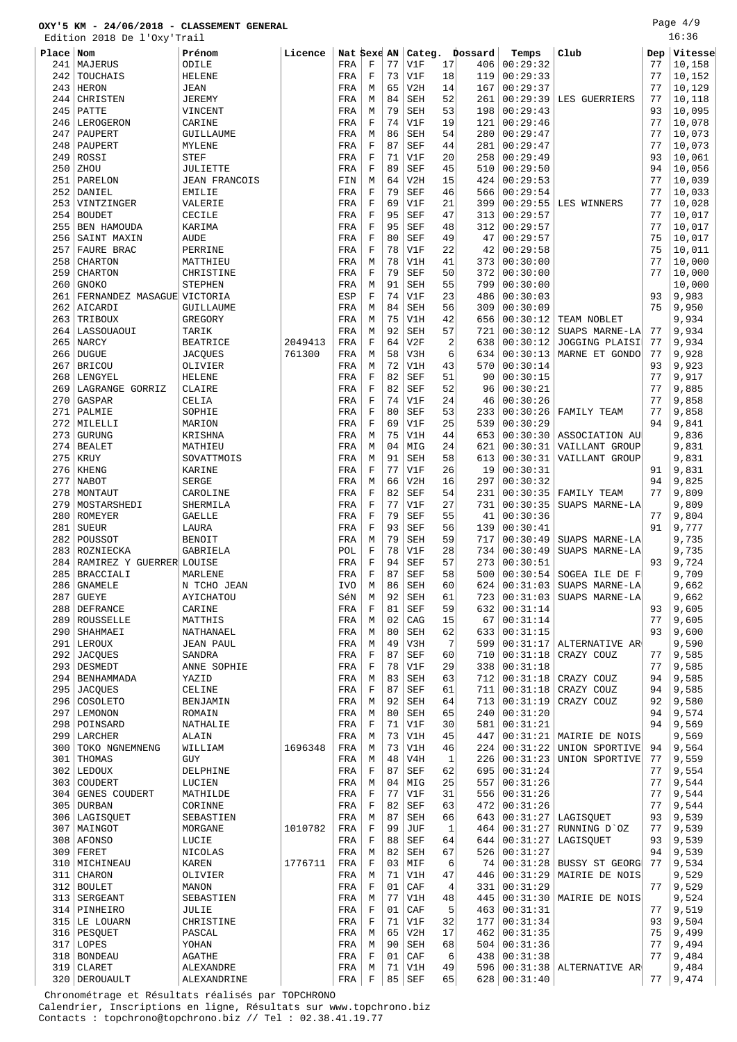Edition 2018 De l'Oxy'Trail

| Place | Nom                        | Prénom               | Licence |     | Nat Sexe AN |    | Categ.     |                | Dossard | Temps    | Club                      | Dep | Vitesse |
|-------|----------------------------|----------------------|---------|-----|-------------|----|------------|----------------|---------|----------|---------------------------|-----|---------|
| 241   | MAJERUS                    | ODILE                |         | FRA | F           | 77 | V1F        | 17             | 406     | 00:29:32 |                           | 77  | 10,158  |
| 242   | TOUCHAIS                   | <b>HELENE</b>        |         | FRA | $\mathbf F$ | 73 | V1F        | 18             | 119     | 00:29:33 |                           | 77  | 10,152  |
| 243   | <b>HERON</b>               | <b>JEAN</b>          |         | FRA | М           | 65 | V2H        | 14             | 167     | 00:29:37 |                           | 77  | 10,129  |
| 244   | CHRISTEN                   | <b>JEREMY</b>        |         | FRA | М           | 84 | <b>SEH</b> | 52             | 261     | 00:29:39 | LES GUERRIERS             | 77  | 10,118  |
| 245   | PATTE                      | VINCENT              |         | FRA | М           | 79 | <b>SEH</b> | 53             | 198     | 00:29:43 |                           | 93  | 10,095  |
| 246   | LEROGERON                  | CARINE               |         | FRA | F           | 74 | V1F        | 19             | 121     | 00:29:46 |                           | 77  | 10,078  |
| 247   | PAUPERT                    | GUILLAUME            |         | FRA | М           | 86 | <b>SEH</b> | 54             | 280     | 00:29:47 |                           | 77  | 10,073  |
| 248   | PAUPERT                    | MYLENE               |         | FRA | F           | 87 | <b>SEF</b> | 44             | 281     | 00:29:47 |                           | 77  | 10,073  |
| 249   | ROSSI                      | <b>STEF</b>          |         | FRA | $\mathbf F$ | 71 | V1F        | 20             | 258     | 00:29:49 |                           | 93  | 10,061  |
| 250   | ZHOU                       | JULIETTE             |         | FRA | $\mathbf F$ | 89 | <b>SEF</b> | 45             | 510     | 00:29:50 |                           | 94  | 10,056  |
| 251   | PARELON                    | <b>JEAN FRANCOIS</b> |         | FIN | М           | 64 | V2H        | 15             | 424     | 00:29:53 |                           | 77  | 10,039  |
| 252   | DANIEL                     | <b>EMILIE</b>        |         | FRA | F           | 79 | <b>SEF</b> | 46             | 566     | 00:29:54 |                           | 77  | 10,033  |
| 253   | VINTZINGER                 | VALERIE              |         | FRA | $\mathbf F$ | 69 | V1F        | 21             | 399     | 00:29:55 | LES WINNERS               | 77  | 10,028  |
| 254   | <b>BOUDET</b>              | CECILE               |         | FRA | $\mathbf F$ | 95 | <b>SEF</b> | 47             | 313     | 00:29:57 |                           | 77  | 10,017  |
| 255   | BEN HAMOUDA                | KARIMA               |         | FRA | $\mathbf F$ | 95 | <b>SEF</b> | 48             | 312     | 00:29:57 |                           | 77  | 10,017  |
| 256   | SAINT MAXIN                | AUDE                 |         | FRA | $\mathbf F$ | 80 | <b>SEF</b> | 49             | 47      | 00:29:57 |                           | 75  | 10,017  |
| 257   | FAURE BRAC                 | PERRINE              |         | FRA | F           | 78 | V1F        | 22             | 42      | 00:29:58 |                           | 75  | 10,011  |
| 258   | <b>CHARTON</b>             | MATTHIEU             |         | FRA | M           | 78 | V1H        | 41             | 373     | 00:30:00 |                           | 77  | 10,000  |
| 259   | <b>CHARTON</b>             | CHRISTINE            |         | FRA | F           | 79 | <b>SEF</b> | 50             | 372     | 00:30:00 |                           | 77  | 10,000  |
| 260   | <b>GNOKO</b>               | <b>STEPHEN</b>       |         | FRA | M           | 91 | <b>SEH</b> | 55             | 799     | 00:30:00 |                           |     | 10,000  |
| 261   | FERNANDEZ MASAGUE VICTORIA |                      |         | ESP | F           | 74 | V1F        | 23             | 486     | 00:30:03 |                           | 93  | 9,983   |
| 262   | AICARDI                    | GUILLAUME            |         | FRA | М           | 84 | <b>SEH</b> | 56             | 309     | 00:30:09 |                           | 75  | 9,950   |
| 263   | TRIBOUX                    | GREGORY              |         | FRA | М           | 75 | V1H        | 42             | 656     | 00:30:12 | TEAM NOBLET               |     | 9,934   |
| 264   | LASSOUAOUI                 | TARIK                |         | FRA | М           | 92 | <b>SEH</b> | 57             | 721     | 00:30:12 | SUAPS MARNE-LA            | 77  | 9,934   |
| 265   | NARCY                      | <b>BEATRICE</b>      | 2049413 | FRA | $\mathbf F$ | 64 | V2F        | $\overline{2}$ | 638     | 00:30:12 | JOGGING PLAISI            | 77  | 9,934   |
| 266   | <b>DUGUE</b>               | <b>JACQUES</b>       | 761300  | FRA | М           | 58 | V3H        | 6              | 634     | 00:30:13 | MARNE ET GONDO            | 77  | 9,928   |
| 267   | <b>BRICOU</b>              | OLIVIER              |         | FRA | M           | 72 | V1H        | 43             | 570     | 00:30:14 |                           | 93  | 9,923   |
| 268   | LENGYEL                    | <b>HELENE</b>        |         | FRA | $\mathbf F$ | 82 | <b>SEF</b> | 51             | 90      | 00:30:15 |                           | 77  | 9,917   |
| 269   | LAGRANGE GORRIZ            | CLAIRE               |         | FRA | $\mathbf F$ | 82 | <b>SEF</b> | 52             | 96      | 00:30:21 |                           | 77  | 9,885   |
| 270   | GASPAR                     | CELIA                |         | FRA | F           | 74 | V1F        | 24             | 46      | 00:30:26 |                           | 77  | 9,858   |
| 271   | PALMIE                     | SOPHIE               |         | FRA | $\rm F$     | 80 | <b>SEF</b> | 53             | 233     | 00:30:26 | FAMILY TEAM               | 77  | 9,858   |
| 272   | MILELLI                    | MARION               |         | FRA | $\mathbf F$ | 69 | V1F        | 25             | 539     | 00:30:29 |                           | 94  | 9,841   |
| 273   | <b>GURUNG</b>              | KRISHNA              |         | FRA | М           | 75 | V1H        | 44             | 653     | 00:30:30 | ASSOCIATION AU            |     | 9,836   |
| 274   | <b>BEALET</b>              | MATHIEU              |         | FRA | М           | 04 | MIG        | 24             | 621     | 00:30:31 | VAILLANT GROUP            |     | 9,831   |
| 275   | <b>KRUY</b>                | SOVATTMOIS           |         | FRA | М           | 91 | <b>SEH</b> | 58             | 613     | 00:30:31 | VAILLANT GROUP            |     | 9,831   |
| 276   | KHENG                      | KARINE               |         | FRA | $\mathbf F$ | 77 | V1F        | 26             | 19      | 00:30:31 |                           | 91  | 9,831   |
| 277   | <b>NABOT</b>               | <b>SERGE</b>         |         | FRA | М           | 66 | V2H        | 16             | 297     | 00:30:32 |                           | 94  | 9,825   |
| 278   | MONTAUT                    | CAROLINE             |         | FRA | $\mathbf F$ | 82 | <b>SEF</b> | 54             | 231     | 00:30:35 | FAMILY TEAM               | 77  | 9,809   |
| 279   | MOSTARSHEDI                | SHERMILA             |         | FRA | F           | 77 | V1F        | 27             | 731     | 00:30:35 | SUAPS MARNE-LA            |     | 9,809   |
| 280   | ROMEYER                    | <b>GAELLE</b>        |         | FRA | $\mathbf F$ | 79 | <b>SEF</b> | 55             | 41      | 00:30:36 |                           | 77  | 9,804   |
| 281   | <b>SUEUR</b>               | LAURA                |         | FRA | F           | 93 | <b>SEF</b> | 56             | 139     | 00:30:41 |                           | 91  | 9,777   |
| 282   | POUSSOT                    | <b>BENOIT</b>        |         | FRA | М           | 79 | <b>SEH</b> | 59             | 717     | 00:30:49 | SUAPS MARNE-LA            |     | 9,735   |
| 283   | ROZNIECKA                  | GABRIELA             |         | POL | $\mathbf F$ | 78 | V1F        | 28             | 734     | 00:30:49 | SUAPS MARNE-LA            |     | 9,735   |
| 284   | RAMIREZ Y GUERRER LOUISE   |                      |         | FRA | $\mathbf F$ | 94 | <b>SEF</b> | 57             | 273     | 00:30:51 |                           | 93  | 9,724   |
| 285   | <b>BRACCIALI</b>           | MARLENE              |         | FRA | $\mathbf F$ | 87 | <b>SEF</b> | 58             | 500     | 00:30:54 | SOGEA ILE DE F            |     | 9,709   |
| 286   | <b>GNAMELE</b>             | N TCHO JEAN          |         | IVO | М           | 86 | <b>SEH</b> | 60             | 624     | 00:31:03 | SUAPS MARNE-LA            |     | 9,662   |
| 287   | <b>GUEYE</b>               | AYICHATOU            |         | SéN | M           | 92 | <b>SEH</b> | 61             | 723     | 00:31:03 | SUAPS MARNE-LA            |     | 9,662   |
| 288   | DEFRANCE                   | CARINE               |         | FRA | F           | 81 | SEF        | 59             | 632     | 00:31:14 |                           | 93  | 9,605   |
| 289   | ROUSSELLE                  | MATTHIS              |         | FRA | М           | 02 | CAG        | 15             | 67      | 00:31:14 |                           | 77  | 9,605   |
|       | 290   SHAHMAEI             | NATHANAEL            |         | FRA | М           | 80 | SEH        | 62             | 633     | 00:31:15 |                           | 93  | 9,600   |
|       | 291 LEROUX                 | <b>JEAN PAUL</b>     |         | FRA | М           | 49 | V3H        | 7              | 599     | 00:31:17 | ALTERNATIVE AR            |     | 9,590   |
|       | 292 JACQUES                | SANDRA               |         | FRA | $\mathbf F$ | 87 | <b>SEF</b> | 60             | 710     | 00:31:18 | CRAZY COUZ                | 77  | 9,585   |
| 293   | DESMEDT                    | ANNE SOPHIE          |         | FRA | F           | 78 | V1F        | 29             | 338     | 00:31:18 |                           | 77  | 9,585   |
|       | 294   BENHAMMADA           | YAZID                |         | FRA | М           | 83 | <b>SEH</b> | 63             | 712     | 00:31:18 | CRAZY COUZ                | 94  | 9,585   |
| 295   | <b>JACQUES</b>             | CELINE               |         | FRA | F           | 87 | <b>SEF</b> | 61             | 711     | 00:31:18 | CRAZY COUZ                | 94  | 9,585   |
| 296   | COSOLETO                   | BENJAMIN             |         | FRA | М           | 92 | <b>SEH</b> | 64             | 713     | 00:31:19 | CRAZY COUZ                | 92  | 9,580   |
|       | 297   LEMONON              | ROMAIN               |         | FRA | М           | 80 | SEH        | 65             | 240     | 00:31:20 |                           | 94  | 9,574   |
|       | 298   POINSARD             | NATHALIE             |         | FRA | F           | 71 | V1F        | 30             | 581     | 00:31:21 |                           | 94  | 9,569   |
|       | 299 LARCHER                | ALAIN                |         | FRA | М           | 73 | V1H        | 45             | 447     | 00:31:21 | MAIRIE DE NOIS            |     | 9,569   |
| 300   | TOKO NGNEMNENG             | WILLIAM              | 1696348 | FRA | М           | 73 | V1H        | 46             | 224     | 00:31:22 | UNION SPORTIVE            | 94  | 9,564   |
| 301   | THOMAS                     | GUY                  |         | FRA | М           | 48 | V4H        | $1\,$          | 226     | 00:31:23 | UNION SPORTIVE            | 77  | 9,559   |
|       | 302   LEDOUX               | DELPHINE             |         | FRA | F           | 87 | SEF        | 62             | 695     | 00:31:24 |                           | 77  | 9,554   |
| 303   | COUDERT                    | LUCIEN               |         | FRA | М           | 04 | MIG        | 25             | 557     | 00:31:26 |                           | 77  | 9,544   |
| 304   | GENES COUDERT              | MATHILDE             |         | FRA | F           | 77 | V1F        | 31             | 556     | 00:31:26 |                           | 77  | 9,544   |
|       | 305 DURBAN                 | CORINNE              |         | FRA | F           | 82 | <b>SEF</b> | 63             | 472     | 00:31:26 |                           | 77  | 9,544   |
|       | 306   LAGISQUET            | SEBASTIEN            |         | FRA | М           | 87 | SEH        | 66             | 643     | 00:31:27 | LAGISQUET                 | 93  | 9,539   |
| 307   | MAINGOT                    | MORGANE              | 1010782 | FRA | F           | 99 | JUF        | 1              | 464     | 00:31:27 | RUNNING D'OZ              | 77  | 9,539   |
|       | 308   AFONSO               | LUCIE                |         | FRA | $\mathbf F$ | 88 | <b>SEF</b> | 64             | 644     | 00:31:27 | LAGISQUET                 | 93  | 9,539   |
|       | $309$ FERET                | NICOLAS              |         | FRA | M           | 82 | <b>SEH</b> | 67             | 526     | 00:31:27 |                           | 94  | 9,539   |
|       | 310   MICHINEAU            | KAREN                | 1776711 | FRA | $\mathbf F$ | 03 | MIF        | 6              | 74      | 00:31:28 | <b>BUSSY ST GEORG</b>     | 77  | 9,534   |
| 311   | CHARON                     | OLIVIER              |         | FRA | М           | 71 | V1H        | 47             | 446     | 00:31:29 | MAIRIE DE NOIS            |     | 9,529   |
| 312   | BOULET                     | MANON                |         | FRA | F           | 01 | CAF        | 4              | 331     | 00:31:29 |                           | 77  | 9,529   |
|       | 313   SERGEANT             | SEBASTIEN            |         | FRA | М           | 77 | V1H        | 48             | 445     | 00:31:30 | MAIRIE DE NOIS            |     | 9,524   |
|       | 314   PINHEIRO             | JULIE                |         | FRA | F           | 01 | CAF        | 5              | 463     | 00:31:31 |                           | 77  | 9,519   |
|       | 315 LE LOUARN              | CHRISTINE            |         | FRA | F           | 71 | V1F        | 32             | 177     | 00:31:34 |                           | 93  | 9,504   |
|       | 316   PESQUET              | PASCAL               |         | FRA | М           | 65 | V2H        | 17             | 462     | 00:31:35 |                           | 75  | 9,499   |
|       | $317$ LOPES                | YOHAN                |         | FRA | М           | 90 | <b>SEH</b> | 68             | 504     | 00:31:36 |                           | 77  | 9,494   |
| 318   | <b>BONDEAU</b>             | <b>AGATHE</b>        |         | FRA | F           | 01 | CAF        | 6              | 438     | 00:31:38 |                           | 77  | 9,484   |
|       | $319$ CLARET               | ALEXANDRE            |         | FRA | M           |    | $71$ $V1H$ | 49             | 596     |          | $00:31:38$ ALTERNATIVE AR |     | 9,484   |

DEROUAULT ALEXANDRINE FRA F 85 SEF 65 628 00:31:40 77 9,474

 Chronométrage et Résultats réalisés par TOPCHRONO Calendrier, Inscriptions en ligne, Résultats sur www.topchrono.biz Contacts : topchrono@topchrono.biz // Tel : 02.38.41.19.77

16:36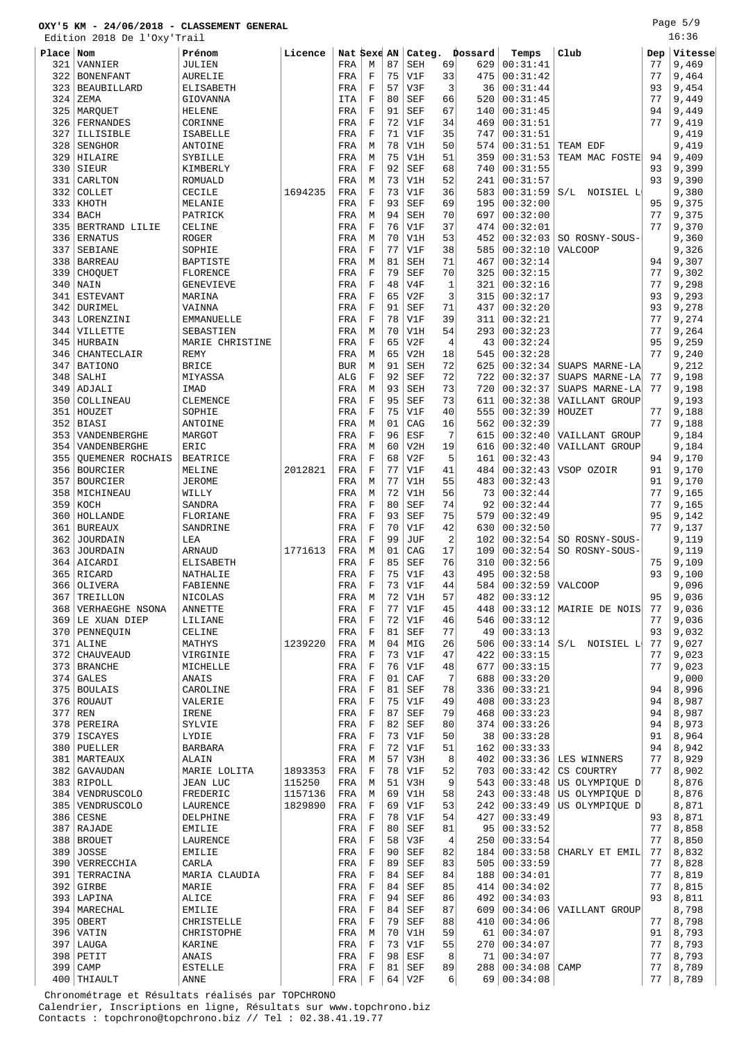Edition 2018 De l'Oxy'Trail

| ᆂᇦᆂᇦᆂ | JII TATA DE<br>$\perp$ $\cup$ $\sim$ $\times$ $\times$ |                   |         |             |         |    |            |                |         |                 |                           |     |         |
|-------|--------------------------------------------------------|-------------------|---------|-------------|---------|----|------------|----------------|---------|-----------------|---------------------------|-----|---------|
| Place | Nom                                                    | Prénom            | Licence | Nat Sexe AN |         |    | Categ.     |                | Dossard | Temps           | Club                      | Dep | Vitesse |
| 321   | VANNIER                                                | JULIEN            |         | FRA         | М       | 87 | <b>SEH</b> | 69             | 629     | 00:31:41        |                           | 77  | 9,469   |
|       |                                                        |                   |         |             |         |    |            |                |         |                 |                           |     |         |
| 322   | <b>BONENFANT</b>                                       | <b>AURELIE</b>    |         | FRA         | F       | 75 | V1F        | 33             | 475     | 00:31:42        |                           | 77  | 9,464   |
| 323   | <b>BEAUBILLARD</b>                                     | ELISABETH         |         | FRA         | F       | 57 | V3F        | 3              | 36      | 00:31:44        |                           | 93  | 9,454   |
|       |                                                        |                   |         |             |         |    |            |                |         |                 |                           |     |         |
| 324   | ZEMA                                                   | GIOVANNA          |         | ITA         | F       | 80 | <b>SEF</b> | 66             | 520     | 00:31:45        |                           | 77  | 9,449   |
| 325   | MARQUET                                                | <b>HELENE</b>     |         | FRA         | F       | 91 | <b>SEF</b> | 67             | 140     | 00:31:45        |                           | 94  | 9,449   |
| 326   | FERNANDES                                              | CORINNE           |         | FRA         | F       | 72 | V1F        | 34             | 469     | 00:31:51        |                           | 77  | 9,419   |
|       |                                                        |                   |         |             |         |    |            |                |         |                 |                           |     |         |
| 327   | ILLISIBLE                                              | <b>ISABELLE</b>   |         | FRA         | F       | 71 | V1F        | 35             | 747     | 00:31:51        |                           |     | 9,419   |
| 328   | <b>SENGHOR</b>                                         | ANTOINE           |         | FRA         | M       | 78 | V1H        | 50             | 574     | 00:31:51        | TEAM EDF                  |     | 9,419   |
|       |                                                        |                   |         |             |         |    |            |                |         |                 |                           |     |         |
| 329   | HILAIRE                                                | SYBILLE           |         | FRA         | М       | 75 | V1H        | 51             | 359     | 00:31:53        | TEAM MAC FOSTE            | 94  | 9,409   |
| 330   | SIEUR                                                  | KIMBERLY          |         | FRA         | F       | 92 | <b>SEF</b> | 68             | 740     | 00:31:55        |                           | 93  | 9,399   |
|       |                                                        |                   |         |             |         | 73 |            | 52             | 241     |                 |                           | 93  |         |
| 331   | CARLTON                                                | <b>ROMUALD</b>    |         | FRA         | М       |    | V1H        |                |         | 00:31:57        |                           |     | 9,390   |
| 332   | COLLET                                                 | CECILE            | 1694235 | FRA         | F       | 73 | V1F        | 36             | 583     | 00:31:59        | NOISIEL L<br>S/L          |     | 9,380   |
| 333   | KHOTH                                                  | MELANIE           |         | FRA         | F       | 93 | <b>SEF</b> | 69             | 195     | 00:32:00        |                           | 95  | 9,375   |
|       |                                                        |                   |         |             |         |    |            |                |         |                 |                           |     |         |
| 334   | <b>BACH</b>                                            | PATRICK           |         | FRA         | M       | 94 | <b>SEH</b> | 70             | 697     | 00:32:00        |                           | 77  | 9,375   |
| 335   | BERTRAND LILIE                                         | CELINE            |         | FRA         | F       | 76 | V1F        | 37             | 474     | 00:32:01        |                           | 77  | 9,370   |
|       |                                                        |                   |         |             |         |    |            |                |         |                 |                           |     |         |
| 336   | <b>ERNATUS</b>                                         | <b>ROGER</b>      |         | FRA         | М       | 70 | V1H        | 53             | 452     | 00:32:03        | SO ROSNY-SOUS-            |     | 9,360   |
| 337   | SEBIANE                                                | SOPHIE            |         | FRA         | F       | 77 | V1F        | 38             | 585     | 00:32:10        | <b>VALCOOP</b>            |     | 9,326   |
| 338   | <b>BARREAU</b>                                         | BAPTISTE          |         | FRA         | М       | 81 | <b>SEH</b> | 71             | 467     | 00:32:14        |                           | 94  | 9,307   |
|       |                                                        |                   |         |             |         |    |            |                |         |                 |                           |     |         |
| 339   | CHOOUET                                                | FLORENCE          |         | FRA         | F       | 79 | <b>SEF</b> | 70             | 325     | 00:32:15        |                           | 77  | 9,302   |
| 340   | NAIN                                                   | <b>GENEVIEVE</b>  |         | FRA         | F       | 48 | V4F        | 1              | 321     | 00:32:16        |                           | 77  | 9,298   |
|       |                                                        |                   |         |             |         |    |            |                |         |                 |                           |     |         |
| 341   | <b>ESTEVANT</b>                                        | MARINA            |         | FRA         | F       | 65 | V2F        | 3              | 315     | 00:32:17        |                           | 93  | 9,293   |
| 342   | <b>DURIMEL</b>                                         | VAINNA            |         | FRA         | F       | 91 | <b>SEF</b> | 71             | 437     | 00:32:20        |                           | 93  | 9,278   |
| 343   | LORENZINI                                              | <b>EMMANUELLE</b> |         | FRA         | F       | 78 | V1F        | 39             | 311     | 00:32:21        |                           | 77  | 9,274   |
|       |                                                        |                   |         |             |         |    |            |                |         |                 |                           |     |         |
| 344   | VILLETTE                                               | SEBASTIEN         |         | FRA         | M       | 70 | V1H        | 54             | 293     | 00:32:23        |                           | 77  | 9,264   |
| 345   | HURBAIN                                                | MARIE CHRISTINE   |         | FRA         | F       | 65 | V2F        | 4              | 43      | 00:32:24        |                           | 95  | 9,259   |
|       |                                                        |                   |         |             |         |    |            |                |         |                 |                           |     |         |
| 346   | <b>CHANTECLAIR</b>                                     | <b>REMY</b>       |         | FRA         | М       | 65 | V2H        | 18             | 545     | 00:32:28        |                           | 77  | 9,240   |
| 347   | <b>BATIONO</b>                                         | <b>BRICE</b>      |         | <b>BUR</b>  | М       | 91 | <b>SEH</b> | 72             | 625     | 00:32:34        | SUAPS MARNE-LA            |     | 9,212   |
|       |                                                        |                   |         |             | F       | 92 |            | 72             | 722     | 00:32:37        |                           | 77  |         |
| 348   | SALHI                                                  | MIYASSA           |         | ALG         |         |    | <b>SEF</b> |                |         |                 | SUAPS MARNE-LA            |     | 9,198   |
| 349   | ADJALI                                                 | IMAD              |         | FRA         | М       | 93 | <b>SEH</b> | 73             | 720     | 00:32:37        | SUAPS MARNE-LA            | 77  | 9,198   |
| 350   | COLLINEAU                                              | CLEMENCE          |         | FRA         | F       | 95 | <b>SEF</b> | 73             | 611     | 00:32:38        | VAILLANT GROUP            |     | 9,193   |
|       |                                                        |                   |         |             |         |    |            |                |         |                 |                           |     |         |
| 351   | HOUZET                                                 | SOPHIE            |         | FRA         | F       | 75 | V1F        | 40             | 555     | 00:32:39        | HOUZET                    | 77  | 9,188   |
| 352   | BIASI                                                  | ANTOINE           |         | FRA         | М       | 01 | CAG        | 16             | 562     | 00:32:39        |                           | 77  | 9,188   |
|       |                                                        |                   |         |             |         | 96 |            | 7              |         |                 |                           |     |         |
| 353   | VANDENBERGHE                                           | MARGOT            |         | FRA         | F       |    | ESF        |                | 615     | 00:32:40        | VAILLANT GROUP            |     | 9,184   |
| 354   | VANDENBERGHE                                           | ERIC              |         | FRA         | М       | 60 | V2H        | 19             | 616     | 00:32:40        | VAILLANT GROUP            |     | 9,184   |
| 355   | <b>OUEMENER ROCHAIS</b>                                | <b>BEATRICE</b>   |         | FRA         | F       | 68 | V2F        | 5              | 161     | 00:32:43        |                           | 94  | 9,170   |
|       |                                                        |                   |         |             |         |    |            |                |         |                 |                           |     |         |
| 356   | <b>BOURCIER</b>                                        | MELINE            | 2012821 | FRA         | $\rm F$ | 77 | V1F        | 41             | 484     | 00:32:43        | VSOP OZOIR                | 91  | 9,170   |
| 357   | <b>BOURCIER</b>                                        | <b>JEROME</b>     |         | FRA         | М       | 77 | V1H        | 55             | 483     | 00:32:43        |                           | 91  | 9,170   |
|       |                                                        |                   |         |             |         |    |            |                |         |                 |                           |     |         |
| 358   | MICHINEAU                                              | WILLY             |         | FRA         | М       | 72 | V1H        | 56             | 73      | 00:32:44        |                           | 77  | 9,165   |
| 359   | KOCH                                                   | SANDRA            |         | FRA         | F       | 80 | <b>SEF</b> | 74             | 92      | 00:32:44        |                           | 77  | 9,165   |
|       |                                                        |                   |         |             |         |    |            | 75             |         |                 |                           |     |         |
| 360   | HOLLANDE                                               | FLORIANE          |         | FRA         | F       | 93 | <b>SEF</b> |                | 579     | 00:32:49        |                           | 95  | 9,142   |
| 361   | <b>BUREAUX</b>                                         | SANDRINE          |         | FRA         | F       | 70 | V1F        | 42             | 630     | 00:32:50        |                           | 77  | 9,137   |
| 362   | JOURDAIN                                               | LEA               |         | FRA         | F       | 99 | JUF        | $\overline{2}$ | 102     | 00:32:54        | SO ROSNY-SOUS-            |     | 9,119   |
|       |                                                        |                   |         |             |         |    |            |                |         |                 |                           |     |         |
| 363   | JOURDAIN                                               | ARNAUD            | 1771613 | FRA         | М       | 01 | CAG        | 17             | 109     | 00:32:54        | SO ROSNY-SOUS-            |     | 9,119   |
| 364   | AICARDI                                                | <b>ELISABETH</b>  |         | FRA         | F       | 85 | <b>SEF</b> | 76             | 310     | 00:32:56        |                           | 75  | 9,109   |
|       |                                                        |                   |         |             |         |    |            |                |         |                 |                           |     |         |
| 365   | RICARD                                                 | NATHALIE          |         | FRA         | F       | 75 | V1F        | 43             | 495     | 00:32:58        |                           | 93  | 9,100   |
| 366   | OLIVERA                                                | FABIENNE          |         | FRA         | F       | 73 | V1F        | 44             | 584     | 00:32:59        | <b>VALCOOP</b>            |     | 9,096   |
|       |                                                        |                   |         |             |         |    |            |                |         |                 |                           | 95  |         |
| 367   | TREILLON                                               | NICOLAS           |         | FRA         | M       | 72 | V1H        | 57             | 482     | 00:33:12        |                           |     | 9,036   |
| 368   | VERHAEGHE NSONA                                        | ANNETTE           |         | FRA         | F       | 77 | V1F        | 45             | 448     |                 | $00:33:12$ MAIRIE DE NOIS | 77  | 9,036   |
| 369   | LE XUAN DIEP                                           | LILIANE           |         | FRA         | F       | 72 | V1F        | 46             | 546     | 00:33:12        |                           | 77  | 9,036   |
|       |                                                        |                   |         |             |         |    |            |                |         |                 |                           |     |         |
|       | 370   PENNEQUIN                                        | CELINE            |         | FRA         | F       | 81 | <b>SEF</b> | 77             | 49      | 00:33:13        |                           | 93  | 9,032   |
| 371   | ALINE                                                  | MATHYS            | 1239220 | FRA         | M       | 04 | MIG        | 26             | 506     | 00:33:14        | S/L NOISIEL L             | 77  | 9,027   |
| 372   | <b>CHAUVEAUD</b>                                       | VIRGINIE          |         | FRA         | F       | 73 | V1F        | 47             | 422     | 00:33:15        |                           | 77  | 9,023   |
|       |                                                        |                   |         |             |         |    |            |                |         |                 |                           |     |         |
| 373   | <b>BRANCHE</b>                                         | MICHELLE          |         | FRA         | F       | 76 | V1F        | 48             | 677     | 00:33:15        |                           | 77  | 9,023   |
| 374   | <b>GALES</b>                                           | ANAIS             |         | FRA         | F       | 01 | CAF        | 7              | 688     | 00:33:20        |                           |     | 9,000   |
|       |                                                        |                   |         |             |         |    |            |                |         |                 |                           |     |         |
|       | 375   BOULAIS                                          | CAROLINE          |         | FRA         | F       | 81 | <b>SEF</b> | 78             | 336     | 00:33:21        |                           | 94  | 8,996   |
|       | 376 ROUAUT                                             | VALERIE           |         | FRA         | F       | 75 | V1F        | 49             | 408     | 00:33:23        |                           | 94  | 8,987   |
|       | $377$ REN                                              | IRENE             |         | FRA         | F       | 87 | SEF        | 79             | 468     | 00:33:23        |                           | 94  | 8,987   |
|       |                                                        |                   |         |             |         |    |            |                |         |                 |                           |     |         |
| 378   | PEREIRA                                                | SYLVIE            |         | FRA         | F       | 82 | SEF        | 80             | 374     | 00:33:26        |                           | 94  | 8,973   |
| 379   | <b>ISCAYES</b>                                         | LYDIE             |         | FRA         | F       | 73 | V1F        | 50             | 38      | 00:33:28        |                           | 91  | 8,964   |
|       |                                                        |                   |         |             |         |    |            |                |         |                 |                           |     |         |
| 380   | PUELLER                                                | <b>BARBARA</b>    |         | FRA         | F       | 72 | V1F        | 51             | 162     | 00:33:33        |                           | 94  | 8,942   |
| 381   | MARTEAUX                                               | ALAIN             |         | FRA         | М       | 57 | V3H        | 8              | 402     |                 | $00:33:36$ LES WINNERS    | 77  | 8,929   |
| 382   |                                                        |                   | 1893353 |             | F       | 78 | V1F        | 52             | 703     | 00:33:42        | CS COURTRY                | 77  | 8,902   |
|       | GAVAUDAN                                               | MARIE LOLITA      |         | FRA         |         |    |            |                |         |                 |                           |     |         |
|       | 383 RIPOLL                                             | <b>JEAN LUC</b>   | 115250  | FRA         | М       | 51 | V3H        | 9              | 543     | 00:33:48        | US OLYMPIQUE D            |     | 8,876   |
|       | 384   VENDRUSCOLO                                      | FREDERIC          | 1157136 | FRA         | М       | 69 | V1H        | 58             | 243     | 00:33:48        | US OLYMPIQUE D            |     | 8,876   |
|       |                                                        |                   |         |             |         |    |            |                |         |                 |                           |     |         |
|       | 385   VENDRUSCOLO                                      | LAURENCE          | 1829890 | FRA         | F       | 69 | V1F        | 53             | 242     | 00:33:49        | US OLYMPIQUE D            |     | 8,871   |
|       | 386 CESNE                                              | DELPHINE          |         | FRA         | F       | 78 | V1F        | 54             | 427     | 00:33:49        |                           | 93  | 8,871   |
|       |                                                        |                   |         |             |         |    |            |                |         |                 |                           |     |         |
| 387   | RAJADE                                                 | <b>EMILIE</b>     |         | FRA         | F       | 80 | <b>SEF</b> | 81             | 95      | 00:33:52        |                           | 77  | 8,858   |
|       | 388   BROUET                                           | LAURENCE          |         | FRA         | F       | 58 | V3F        | 4              | 250     | 00:33:54        |                           | 77  | 8,850   |
| 389   | JOSSE                                                  | <b>EMILIE</b>     |         | FRA         | F       | 90 | SEF        | 82             | 184     | 00:33:58        | CHARLY ET EMIL            | 77  | 8,832   |
|       |                                                        |                   |         |             |         |    |            |                |         |                 |                           |     |         |
| 390   | VERRECCHIA                                             | CARLA             |         | FRA         | F       | 89 | <b>SEF</b> | 83             | 505     | 00:33:59        |                           | 77  | 8,828   |
| 391   | TERRACINA                                              | MARIA CLAUDIA     |         | FRA         | F       | 84 | <b>SEF</b> | 84             | 188     | 00:34:01        |                           | 77  | 8,819   |
|       |                                                        |                   |         |             |         |    |            |                |         |                 |                           |     |         |
| 392   | GIRBE                                                  | MARIE             |         | FRA         | F       | 84 | <b>SEF</b> | 85             | 414     | 00:34:02        |                           | 77  | 8,815   |
|       | 393   LAPINA                                           | ALICE             |         | FRA         | F       | 94 | SEF        | 86             | 492     | 00:34:03        |                           | 93  | 8,811   |
|       | 394   MARECHAL                                         | EMILIE            |         | FRA         | F       | 84 | SEF        | 87             | 609     | 00:34:06        | VAILLANT GROUP            |     | 8,798   |
|       |                                                        |                   |         |             |         |    |            |                |         |                 |                           |     |         |
|       | 395 OBERT                                              | CHRISTELLE        |         | FRA         | F       | 79 | <b>SEF</b> | 88             | 410     | 00:34:06        |                           | 77  | 8,798   |
|       | 396 VATIN                                              | CHRISTOPHE        |         | FRA         | M       | 70 | V1H        | 59             | 61      | 00:34:07        |                           | 91  | 8,793   |
|       |                                                        |                   |         |             |         |    |            |                |         |                 |                           |     |         |
| 397   | LAUGA                                                  | KARINE            |         | FRA         | F       | 73 | V1F        | 55             | 270     | 00:34:07        |                           | 77  | 8,793   |
| 398   | PETIT                                                  | ANAIS             |         | FRA         | F       | 98 | ESF        | 8              | 71      | 00:34:07        |                           | 77  | 8,793   |
|       | CAMP                                                   | <b>ESTELLE</b>    |         | FRA         | F       | 81 | SEF        | 89             | 288     | $00:34:08$ CAMP |                           | 77  | 8,789   |
| 399   |                                                        |                   |         |             |         |    |            |                |         |                 |                           |     |         |

THIAULT ANNE FRA F 64 V2F 6 69 00:34:08 77 8,789

 Chronométrage et Résultats réalisés par TOPCHRONO Calendrier, Inscriptions en ligne, Résultats sur www.topchrono.biz Contacts : topchrono@topchrono.biz // Tel : 02.38.41.19.77

Page 5/9

16:36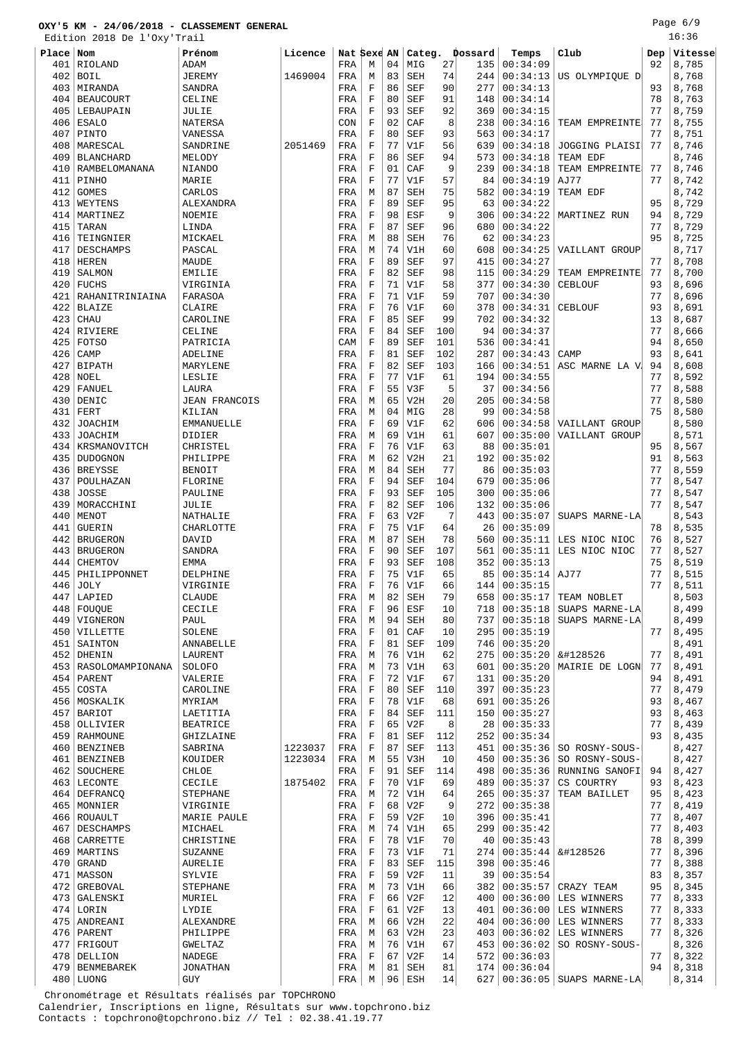Page 6/9 16:36

|           | Edition 2018 De l'Oxy'Trail  |                           |         |             |             |    |            |     |                |          |                                   |     | 16:36          |
|-----------|------------------------------|---------------------------|---------|-------------|-------------|----|------------|-----|----------------|----------|-----------------------------------|-----|----------------|
| Place Nom |                              | Prénom                    | Licence | Nat Sexe AN |             |    |            |     | Categ. Dossard | Temps    | Club                              | Dep | Vitesse        |
| 401       | RIOLAND                      | ADAM                      |         | FRA         | М           | 04 | MIG        | 27  | 135            | 00:34:09 |                                   | 92  | 8,785          |
| 402       | <b>BOIL</b>                  | <b>JEREMY</b>             | 1469004 | FRA         | М           | 83 | <b>SEH</b> | 74  | 244            | 00:34:13 | US OLYMPIQUE D                    |     | 8,768          |
| 403       | MIRANDA                      | SANDRA                    |         | FRA         | F           | 86 | <b>SEF</b> | 90  | 277            | 00:34:13 |                                   | 93  | 8,768          |
| 404       | <b>BEAUCOURT</b>             | CELINE                    |         | FRA         | $\mathbf F$ | 80 | <b>SEF</b> | 91  | 148            | 00:34:14 |                                   | 78  | 8,763          |
| 405       | LEBAUPAIN                    | JULIE                     |         | FRA         | F           | 93 | <b>SEF</b> | 92  | 369            | 00:34:15 |                                   | 77  | 8,759          |
| 406       | <b>ESALO</b>                 | NATERSA                   |         | CON         | $\mathbf F$ | 02 | CAF        | 8   | 238            | 00:34:16 | TEAM EMPREINTE                    | 77  | 8,755          |
| 407       | PINTO                        | VANESSA                   |         | FRA         | F           | 80 | <b>SEF</b> | 93  | 563            | 00:34:17 |                                   | 77  | 8,751          |
| 408       | MARESCAL                     | SANDRINE                  | 2051469 | FRA         | $\mathbf F$ | 77 | V1F        | 56  | 639            | 00:34:18 | JOGGING PLAISI                    | 77  | 8,746          |
| 409       | <b>BLANCHARD</b>             | MELODY                    |         | FRA         | F           | 86 | <b>SEF</b> | 94  | 573            | 00:34:18 | TEAM EDF                          |     | 8,746          |
| 410       | RAMBELOMANANA                | <b>NIANDO</b>             |         | FRA         | $\mathbf F$ | 01 | CAF        | 9   | 239            | 00:34:18 | TEAM EMPREINTE                    | 77  | 8,746          |
| 411       | PINHO                        | MARIE                     |         | FRA         | $\mathbf F$ | 77 | V1F        | 57  | 84             | 00:34:19 | AJ77                              | 77  | 8,742          |
| 412       | <b>GOMES</b>                 | CARLOS                    |         | FRA         | М           | 87 | <b>SEH</b> | 75  | 582            | 00:34:19 | TEAM EDF                          |     | 8,742          |
| 413       | WEYTENS                      | ALEXANDRA                 |         | FRA         | F           | 89 | <b>SEF</b> | 95  | 63             | 00:34:22 |                                   | 95  | 8,729          |
| 414       | MARTINEZ                     | NOEMIE                    |         | FRA         | $\mathbf F$ | 98 | ESF        | 9   | 306            | 00:34:22 | MARTINEZ RUN                      | 94  | 8,729          |
| 415       | TARAN                        | LINDA                     |         | FRA         | $\mathbf F$ | 87 | <b>SEF</b> | 96  | 680            | 00:34:22 |                                   | 77  | 8,729          |
| 416       | TEINGNIER                    | MICKAEL                   |         | FRA         | М           | 88 | <b>SEH</b> | 76  | 62             | 00:34:23 |                                   | 95  | 8,725          |
| 417       | DESCHAMPS                    | PASCAL                    |         | FRA         | М           | 74 | V1H        | 60  | 608            | 00:34:25 | VAILLANT GROUP                    |     | 8,717          |
| 418       | <b>HEREN</b>                 | MAUDE                     |         | FRA         | $\mathbf F$ | 89 | <b>SEF</b> | 97  | 415            | 00:34:27 |                                   | 77  | 8,708          |
| 419       | SALMON                       | <b>EMILIE</b>             |         | FRA         | $\mathbf F$ | 82 | <b>SEF</b> | 98  | 115            | 00:34:29 | TEAM EMPREINTE                    | 77  | 8,700          |
| 420       | <b>FUCHS</b>                 | VIRGINIA                  |         | FRA         | $\mathbf F$ | 71 | V1F        | 58  | 377            | 00:34:30 | CEBLOUF                           | 93  | 8,696          |
| 421       | RAHANITRINIAINA              | FARASOA                   |         | FRA         | F           | 71 | V1F        | 59  | 707            | 00:34:30 |                                   | 77  | 8,696          |
| 422       | <b>BLAIZE</b>                | CLAIRE                    |         | FRA         | $\mathbf F$ | 76 | V1F        | 60  | 378            | 00:34:31 | CEBLOUF                           | 93  | 8,691          |
| 423       | <b>CHAU</b>                  | CAROLINE                  |         | FRA         | F           | 85 | <b>SEF</b> | 99  | 702            | 00:34:32 |                                   | 13  | 8,687          |
| 424       | RIVIERE                      | CELINE                    |         | FRA         | $\mathbf F$ | 84 | <b>SEF</b> | 100 | 94             | 00:34:37 |                                   | 77  | 8,666          |
| 425       | <b>FOTSO</b>                 | PATRICIA                  |         | CAM         | F           | 89 | <b>SEF</b> | 101 | 536            | 00:34:41 |                                   | 94  | 8,650          |
| 426       | CAMP                         | ADELINE                   |         | FRA         | $\mathbf F$ | 81 | <b>SEF</b> | 102 | 287            | 00:34:43 | CAMP                              | 93  | 8,641          |
| 427       | <b>BIPATH</b>                | MARYLENE                  |         | FRA         | $\mathbf F$ | 82 | <b>SEF</b> | 103 | 166            | 00:34:51 | ASC MARNE LA V                    | 94  | 8,608          |
| 428       | NOEL                         | LESLIE                    |         | FRA         | $\mathbf F$ | 77 | V1F        | 61  | 194            | 00:34:55 |                                   | 77  | 8,592          |
| 429       | FANUEL                       | LAURA                     |         | FRA         | $\mathbf F$ | 55 | V3F        | 5   | 37             | 00:34:56 |                                   | 77  | 8,588          |
| 430       | DENIC                        | <b>JEAN FRANCOIS</b>      |         | FRA         | М           | 65 | V2H        | 20  | 205            | 00:34:58 |                                   | 77  | 8,580          |
| 431       | FERT                         | KILIAN                    |         | FRA         | M           | 04 | MIG        | 28  | 99             | 00:34:58 |                                   | 75  | 8,580          |
| 432       | <b>JOACHIM</b>               | <b>EMMANUELLE</b>         |         | FRA         | $\mathbf F$ | 69 | V1F        | 62  | 606            | 00:34:58 | VAILLANT GROUP                    |     | 8,580          |
| 433       | <b>JOACHIM</b>               | DIDIER                    |         | FRA         | M           | 69 | V1H        | 61  | 607            | 00:35:00 | VAILLANT GROUP                    |     | 8,571          |
| 434       | KRSMANOVITCH                 | CHRISTEL                  |         | FRA         | F           | 76 | V1F        | 63  | 88             | 00:35:01 |                                   | 95  | 8,567          |
| 435       | <b>DUDOGNON</b>              | PHILIPPE                  |         | FRA         | M           | 62 | V2H        | 21  | 192            | 00:35:02 |                                   | 91  | 8,563          |
| 436       | <b>BREYSSE</b>               | <b>BENOIT</b>             |         | FRA         | М           | 84 | <b>SEH</b> | 77  | 86             | 00:35:03 |                                   | 77  | 8,559          |
| 437       | POULHAZAN                    | FLORINE                   |         | FRA         | F           | 94 | <b>SEF</b> | 104 | 679            | 00:35:06 |                                   | 77  | 8,547          |
| 438       | <b>JOSSE</b>                 | PAULINE                   |         | FRA         | $\mathbf F$ | 93 | <b>SEF</b> | 105 | 300            | 00:35:06 |                                   | 77  | 8,547          |
| 439       | MORACCHINI                   | JULIE                     |         | FRA         | $\mathbf F$ | 82 | <b>SEF</b> | 106 | 132            | 00:35:06 |                                   | 77  | 8,547          |
| 440       | MENOT                        | NATHALIE                  |         | FRA         | $\mathbf F$ | 63 | V2F        | 7   | 443            | 00:35:07 | SUAPS MARNE-LA                    |     | 8,543          |
| 441       | <b>GUERIN</b>                | CHARLOTTE                 |         | FRA         | F           | 75 | V1F        | 64  | 26             | 00:35:09 |                                   | 78  | 8,535          |
| 442       | <b>BRUGERON</b>              | DAVID                     |         | FRA         | М           | 87 | <b>SEH</b> | 78  | 560            | 00:35:11 | LES NIOC NIOC                     | 76  | 8,527          |
| 443       | <b>BRUGERON</b>              | SANDRA                    |         | FRA         | $\mathbf F$ | 90 | <b>SEF</b> | 107 | 561            | 00:35:11 | LES NIOC NIOC                     | 77  | 8,527          |
| 444       | <b>CHEMTOV</b>               | EMMA                      |         | FRA         | $\mathbf F$ | 93 | SEF        | 108 | 352            | 00:35:13 |                                   | 75  | 8,519          |
| 445       | PHILIPPONNET                 | DELPHINE                  |         | FRA         | $\mathbf F$ | 75 | V1F        | 65  | 85             | 00:35:14 | AJ77                              | 77  | 8,515          |
| 446       | <b>JOLY</b>                  | VIRGINIE                  |         | FRA         | $\mathbf F$ | 76 | V1F        | 66  | 144            | 00:35:15 |                                   | 77  | 8,511          |
| 447       | LAPIED                       | CLAUDE                    |         | FRA         | М           | 82 | SEH        | 79  | 658            | 00:35:17 | TEAM NOBLET                       |     | 8,503          |
| 448       | <b>FOUQUE</b>                | CECILE                    |         | FRA         | $\mathbf F$ | 96 | ESF        | 10  | 718            | 00:35:18 | SUAPS MARNE-LA                    |     | 8,499          |
| 449       | VIGNERON                     | PAUL                      |         | FRA         | М           | 94 | SEH        | 80  | 737            | 00:35:18 | SUAPS MARNE-LA                    |     | 8,499          |
| 450       | VILLETTE                     | SOLENE                    |         | FRA         | F           | 01 | CAF        | 10  | 295            | 00:35:19 |                                   | 77  | 8,495          |
| 451       | SAINTON                      | ANNABELLE                 |         | FRA         | $\mathbf F$ | 81 | <b>SEF</b> | 109 | 746            | 00:35:20 |                                   |     | 8,491          |
| 452       | DHENIN                       | LAURENT                   |         | FRA         | М           | 76 | V1H        | 62  | 275            | 00:35:20 | 😎                                 | 77  | 8,491          |
| 453       | RASOLOMAMPIONANA             | SOLOFO                    |         | FRA         | М           | 73 | V1H        | 63  | 601            | 00:35:20 | MAIRIE DE LOGN                    | 77  | 8,491          |
| 454       | PARENT                       | VALERIE                   |         | FRA         | $\mathbf F$ | 72 | V1F        | 67  | 131            | 00:35:20 |                                   | 94  | 8,491          |
| 455       | COSTA                        | CAROLINE                  |         | FRA         | $\mathbf F$ | 80 | <b>SEF</b> | 110 | 397            | 00:35:23 |                                   | 77  | 8,479          |
|           | 456   MOSKALIK               | MYRIAM                    |         | FRA         | $\mathbf F$ | 78 | V1F        | 68  | 691            | 00:35:26 |                                   | 93  | 8,467          |
| 457       | <b>BARIOT</b>                | LAETITIA                  |         | FRA         | $\mathbf F$ | 84 | SEF        | 111 | 150            | 00:35:27 |                                   | 93  | 8,463          |
| 458       | OLLIVIER                     | <b>BEATRICE</b>           |         | FRA         | $\mathbf F$ | 65 | V2F        | 8   | 28             | 00:35:33 |                                   | 77  | 8,439          |
| 459       | <b>RAHMOUNE</b>              | GHIZLAINE                 |         | FRA         | $\mathbf F$ | 81 | SEF        | 112 | 252            | 00:35:34 |                                   | 93  | 8,435          |
| 460       | <b>BENZINEB</b>              | SABRINA                   | 1223037 | FRA         | $\mathbf F$ | 87 | <b>SEF</b> | 113 | 451            | 00:35:36 | SO ROSNY-SOUS-                    |     | 8,427          |
| 461       | <b>BENZINEB</b>              | KOUIDER                   | 1223034 | FRA         | М           | 55 | V3H        | 10  | 450            | 00:35:36 | SO ROSNY-SOUS-                    |     | 8,427          |
| 462       | SOUCHERE                     | CHLOE                     |         | FRA         | F           | 91 | SEF        | 114 | 498            | 00:35:36 | RUNNING SANOFI                    | 94  | 8,427          |
|           | 463 LECONTE                  | CECILE                    | 1875402 | FRA         | $\mathbf F$ | 70 | V1F        | 69  | 489            | 00:35:37 | CS COURTRY                        | 93  | 8,423          |
| 464       | DEFRANCQ                     | <b>STEPHANE</b>           |         | FRA         | М           | 72 | V1H        | 64  | 265            | 00:35:37 | TEAM BAILLET                      | 95  | 8,423          |
| 465       | MONNIER                      | VIRGINIE                  |         | FRA         | $\mathbf F$ | 68 | V2F        | 9   | 272            | 00:35:38 |                                   | 77  | 8,419          |
| 466       | ROUAULT                      | MARIE PAULE               |         | FRA         | F           | 59 | V2F        | 10  | 396            | 00:35:41 |                                   | 77  | 8,407          |
| 467       | DESCHAMPS                    | MICHAEL                   |         | FRA         | М           | 74 | V1H        | 65  | 299            | 00:35:42 |                                   | 77  | 8,403          |
| 468       | CARRETTE                     | CHRISTINE                 |         | FRA         | F           | 78 | V1F        | 70  | 40             | 00:35:43 |                                   | 78  | 8,399          |
| 469       | MARTINS                      | SUZANNE                   |         | FRA         | $\mathbf F$ | 73 | V1F        | 71  | 274            | 00:35:44 | 😎                                 | 77  | 8,396          |
| 470       | GRAND                        | AURELIE                   |         | FRA         | $\mathbf F$ | 83 | SEF        | 115 | 398            | 00:35:46 |                                   | 77  | 8,388          |
| 471       | MASSON                       | SYLVIE                    |         | FRA         | $\mathbf F$ | 59 | V2F        | 11  | 39             | 00:35:54 |                                   | 83  | 8,357          |
| 472       | <b>GREBOVAL</b>              | <b>STEPHANE</b>           |         | FRA         | М           | 73 | V1H        | 66  | 382            | 00:35:57 | CRAZY TEAM                        | 95  | 8,345          |
| 473       | GALENSKI                     | MURIEL                    |         | FRA         | $\mathbf F$ | 66 | V2F        | 12  | 400            | 00:36:00 | LES WINNERS                       | 77  | 8,333          |
|           | $474$ LORIN                  | LYDIE                     |         | FRA         | $\mathbf F$ | 61 | V2F        | 13  | 401            | 00:36:00 | LES WINNERS                       | 77  | 8,333          |
| 475       | ANDREANI                     | ALEXANDRE                 |         | FRA         | М           | 66 | V2H        | 22  | 404            | 00:36:00 | LES WINNERS                       | 77  | 8,333          |
| 476       | PARENT                       | PHILIPPE                  |         | FRA         | М           | 63 | V2H        | 23  | 403            | 00:36:02 | LES WINNERS                       | 77  | 8,326          |
| 477       | FRIGOUT                      | GWELTAZ                   |         | FRA         | М           | 76 | V1H        | 67  | 453            | 00:36:02 | SO ROSNY-SOUS-                    |     | 8,326          |
| 478       |                              |                           |         |             | F           | 67 | V2F        | 14  | 572            | 00:36:03 |                                   | 77  |                |
| 479       | DELLION<br><b>BENMEBAREK</b> | NADEGE<br><b>JONATHAN</b> |         | FRA<br>FRA  | М           | 81 | SEH        | 81  | 174            | 00:36:04 |                                   | 94  | 8,322<br>8,318 |
|           | 480   LUONG                  | GUY                       |         | FRA         | М           |    | $96$ ESH   | 14  |                |          | $627   00:36:05   SUBPS MARKE-LA$ |     | 8,314          |
|           |                              |                           |         |             |             |    |            |     |                |          |                                   |     |                |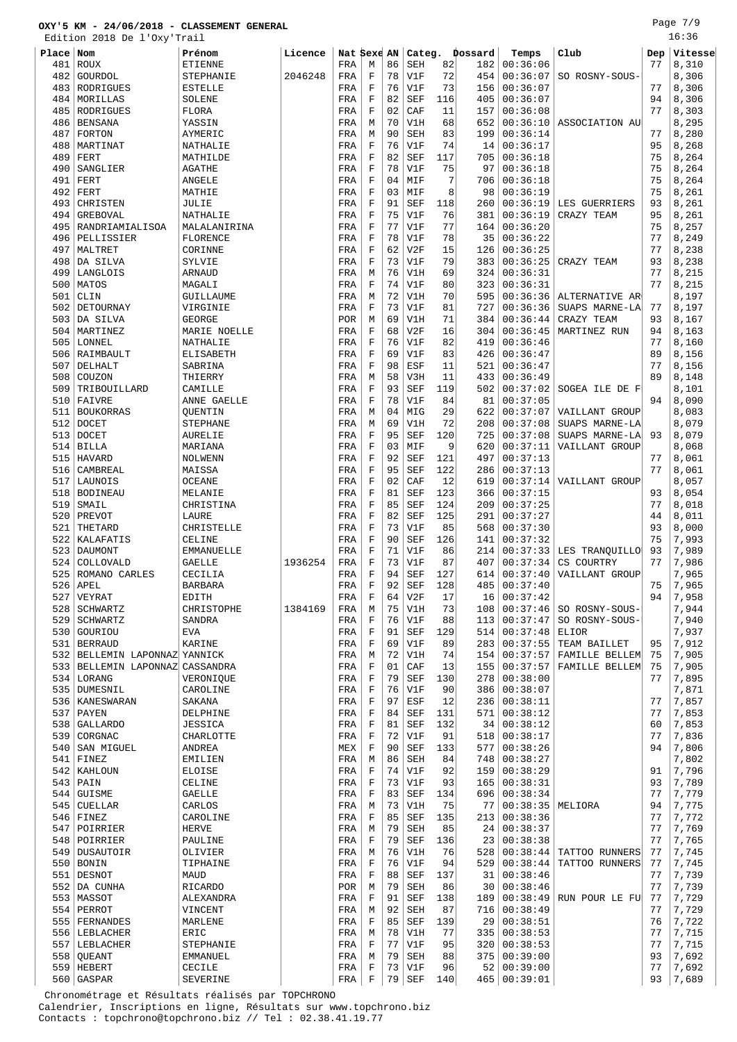Page 7/9 16:36

|       | Edition 2018 De l'Oxy'Trail |                   |         |            |             |    |            |     |         |                |                 |     | 16:36   |
|-------|-----------------------------|-------------------|---------|------------|-------------|----|------------|-----|---------|----------------|-----------------|-----|---------|
| Place | Nom                         | Prénom            | Licence | Nat Sexe   |             | AN | Categ.     |     | Dossard | Temps          | Club            | Dep | Vitesse |
| 481   | ROUX                        | ETIENNE           |         | FRA        | М           | 86 | SEH        | 82  | 182     | 00:36:06       |                 | 77  | 8,310   |
| 482   | GOURDOL                     | STEPHANIE         | 2046248 | FRA        | $\mathbf F$ | 78 | V1F        | 72  | 454     | 00:36:07       | SO ROSNY-SOUS-  |     | 8,306   |
| 483   | RODRIGUES                   | <b>ESTELLE</b>    |         | FRA        | F           | 76 | V1F        | 73  | 156     | 00:36:07       |                 | 77  | 8,306   |
| 484   | MORILLAS                    | SOLENE            |         | FRA        | $\mathbf F$ | 82 | <b>SEF</b> | 116 | 405     | 00:36:07       |                 | 94  | 8,306   |
| 485   | RODRIGUES                   | FLORA             |         | FRA        | F           | 02 | CAF        | 11  | 157     | 00:36:08       |                 | 77  | 8,303   |
| 486   | <b>BENSANA</b>              | YASSIN            |         | FRA        | M           | 70 | V1H        | 68  | 652     | 00:36:10       | ASSOCIATION AU  |     | 8,295   |
| 487   | FORTON                      | AYMERIC           |         | FRA        | M           | 90 | <b>SEH</b> | 83  | 199     | 00:36:14       |                 | 77  | 8,280   |
| 488   | MARTINAT                    | NATHALIE          |         | FRA        | F           | 76 | V1F        | 74  | 14      | 00:36:17       |                 | 95  | 8,268   |
| 489   | FERT                        | MATHILDE          |         | FRA        | F           | 82 | <b>SEF</b> | 117 | 705     | 00:36:18       |                 | 75  | 8,264   |
| 490   | SANGLIER                    | <b>AGATHE</b>     |         | FRA        | F           | 78 | V1F        | 75  | 97      | 00:36:18       |                 | 75  | 8,264   |
| 491   | FERT                        | ANGELE            |         | FRA        | $\mathbf F$ | 04 | MIF        | 7   | 706     | 00:36:18       |                 | 75  | 8,264   |
| 492   | FERT                        | MATHIE            |         | FRA        | F           | 03 | MIF        | 8   | 98      | 00:36:19       |                 | 75  | 8,261   |
| 493   | CHRISTEN                    | JULIE             |         | FRA        | $\mathbf F$ | 91 | <b>SEF</b> | 118 | 260     | 00:36:19       | LES GUERRIERS   | 93  | 8,261   |
| 494   | <b>GREBOVAL</b>             | NATHALIE          |         | FRA        | F           | 75 | V1F        | 76  | 381     | 00:36:19       | CRAZY TEAM      | 95  | 8,261   |
| 495   | RANDRIAMIALISOA             | MALALANIRINA      |         | FRA        | $\mathbf F$ | 77 | V1F        | 77  | 164     | 00:36:20       |                 | 75  | 8,257   |
| 496   | PELLISSIER                  | FLORENCE          |         | FRA        | F           | 78 | V1F        | 78  | 35      | 00:36:22       |                 | 77  | 8,249   |
| 497   | MALTRET                     | CORINNE           |         | FRA        | $\mathbf F$ | 62 | V2F        | 15  | 126     | 00:36:25       |                 | 77  | 8,238   |
| 498   | DA SILVA                    | SYLVIE            |         | FRA        | F           | 73 | V1F        | 79  | 383     | 00:36:25       | CRAZY TEAM      | 93  | 8,238   |
| 499   | LANGLOIS                    | ARNAUD            |         | FRA        | М           | 76 | V1H        | 69  | 324     | 00:36:31       |                 | 77  | 8,215   |
| 500   | MATOS                       | MAGALI            |         | FRA        | F           | 74 | V1F        | 80  | 323     | 00:36:31       |                 | 77  | 8,215   |
| 501   | CLIN                        | GUILLAUME         |         | FRA        | М           | 72 | V1H        | 70  | 595     | 00:36:36       | ALTERNATIVE AR  |     | 8,197   |
| 502   | DETOURNAY                   | VIRGINIE          |         | FRA        | $\mathbf F$ | 73 | V1F        | 81  | 727     | 00:36:36       | SUAPS MARNE-LA  | 77  | 8,197   |
| 503   | DA SILVA                    | <b>GEORGE</b>     |         | POR        | М           | 69 | V1H        | 71  | 384     | 00:36:44       | CRAZY TEAM      | 93  | 8,167   |
| 504   | MARTINEZ                    | MARIE NOELLE      |         | FRA        | F           | 68 | V2F        | 16  | 304     | 00:36:45       | MARTINEZ RUN    | 94  | 8,163   |
| 505   | LONNEL                      | NATHALIE          |         | FRA        | F           | 76 | V1F        | 82  | 419     | 00:36:46       |                 | 77  | 8,160   |
| 506   | RAIMBAULT                   | ELISABETH         |         | FRA        | $\mathbf F$ | 69 | V1F        | 83  | 426     | 00:36:47       |                 | 89  | 8,156   |
| 507   | DELHALT                     | SABRINA           |         | FRA        | $\mathbf F$ | 98 | ESF        | 11  | 521     | 00:36:47       |                 | 77  | 8,156   |
| 508   | COUZON                      | THIERRY           |         | FRA        | М           | 58 | V3H        | 11  | 433     | 00:36:49       |                 | 89  | 8,148   |
| 509   | TRIBOUILLARD                | CAMILLE           |         |            | F           | 93 | <b>SEF</b> | 119 | 502     | 00:37:02       | SOGEA ILE DE FI |     | 8,101   |
| 510   | FAIVRE                      | ANNE GAELLE       |         | FRA<br>FRA | F           | 78 | V1F        | 84  | 81      | 00:37:05       |                 | 94  | 8,090   |
|       |                             |                   |         |            |             |    |            | 29  |         |                |                 |     |         |
| 511   | <b>BOUKORRAS</b>            | OUENTIN           |         | FRA        | М           | 04 | MIG        |     | 622     | 00:37:07       | VAILLANT GROUP  |     | 8,083   |
| 512   | <b>DOCET</b>                | <b>STEPHANE</b>   |         | FRA        | М           | 69 | V1H        | 72  | 208     | 00:37:08       | SUAPS MARNE-LA  |     | 8,079   |
| 513   | <b>DOCET</b>                | AURELIE           |         | FRA        | F           | 95 | <b>SEF</b> | 120 | 725     | 00:37:08       | SUAPS MARNE-LA  | 93  | 8,079   |
| 514   | <b>BILLA</b>                | MARIANA           |         | FRA        | F           | 03 | MIF        | 9   | 620     | 00:37:11       | VAILLANT GROUP  |     | 8,068   |
| 515   | <b>HAVARD</b>               | NOLWENN           |         | FRA        | F           | 92 | <b>SEF</b> | 121 | 497     | 00:37:13       |                 | 77  | 8,061   |
| 516   | CAMBREAL                    | MAISSA            |         | FRA        | $\mathbf F$ | 95 | <b>SEF</b> | 122 | 286     | 00:37:13       |                 | 77  | 8,061   |
| 517   | LAUNOIS                     | <b>OCEANE</b>     |         | FRA        | F           | 02 | CAF        | 12  | 619     | 00:37:14       | VAILLANT GROUP  |     | 8,057   |
| 518   | <b>BODINEAU</b>             | MELANIE           |         | FRA        | $\mathbf F$ | 81 | <b>SEF</b> | 123 | 366     | 00:37:15       |                 | 93  | 8,054   |
| 519   | SMAIL                       | CHRISTINA         |         | FRA        | F           | 85 | <b>SEF</b> | 124 | 209     | 00:37:25       |                 | 77  | 8,018   |
| 520   | PREVOT                      | LAURE             |         | FRA        | $\mathbf F$ | 82 | <b>SEF</b> | 125 | 291     | 00:37:27       |                 | 44  | 8,011   |
| 521   | THETARD                     | CHRISTELLE        |         | FRA        | F           | 73 | V1F        | 85  | 568     | 00:37:30       |                 | 93  | 8,000   |
| 522   | KALAFATIS                   | CELINE            |         | FRA        | F           | 90 | <b>SEF</b> | 126 | 141     | 00:37:32       |                 | 75  | 7,993   |
| 523   | DAUMONT                     | <b>EMMANUELLE</b> |         | FRA        | F           | 71 | V1F        | 86  | 214     | 00:37:33       | LES TRANQUILLO  | 93  | 7,989   |
| 524   | COLLOVALD                   | GAELLE            | 1936254 | FRA        | $\mathbf F$ | 73 | V1F        | 87  | 407     | 00:37:34       | CS COURTRY      | 77  | 7,986   |
|       | 525 ROMANO CARLES           | CECILIA           |         | FRA        | F           | 94 | <b>SEF</b> | 127 | 614     | 00:37:40       | VAILLANT GROUP  |     | 7,965   |
|       | $526$ APEL                  | <b>BARBARA</b>    |         | FRA        | $\mathbf F$ | 92 | <b>SEF</b> | 128 | 485     | 00:37:40       |                 | 75  | 7,965   |
| 527   | VEYRAT                      | EDITH             |         | FRA        | F           | 64 | V2F        | 17  | 16      | 00:37:42       |                 | 94  | 7,958   |
| 528   | SCHWARTZ                    | CHRISTOPHE        | 1384169 | FRA        | M           | 75 | V1H        | 73  | 108     | 00:37:46       | SO ROSNY-SOUS-  |     | 7,944   |
| 529   | <b>SCHWARTZ</b>             | SANDRA            |         | FRA        | $\mathbf F$ | 76 | V1F        | 88  | 113     | 00:37:47       | SO ROSNY-SOUS-  |     | 7,940   |
| 530   | GOURIOU                     | <b>EVA</b>        |         | FRA        | F           | 91 | SEF        | 129 | 514     | 00:37:48       | ELIOR           |     | 7,937   |
| 531   | <b>BERRAUD</b>              | <b>KARINE</b>     |         | FRA        | $\mathbf F$ | 69 | V1F        | 89  | 283     | 00:37:55       | TEAM BAILLET    | 95  | 7,912   |
| 532   | BELLEMIN LAPONNAZ YANNICK   |                   |         | FRA        | М           | 72 | V1H        | 74  | 154     | 00:37:57       | FAMILLE BELLEM  | 75  | 7,905   |
| 533   | BELLEMIN LAPONNAZ CASSANDRA |                   |         | FRA        | $\mathbf F$ | 01 | CAF        | 13  | 155     | 00:37:57       | FAMILLE BELLEM  | 75  | 7,905   |
|       | 534 LORANG                  | VERONIQUE         |         | FRA        | $\mathbf F$ | 79 | <b>SEF</b> | 130 | 278     | 00:38:00       |                 | 77  | 7,895   |
| 535   | <b>DUMESNIL</b>             | CAROLINE          |         | FRA        | $\mathbf F$ | 76 | V1F        | 90  | 386     | 00:38:07       |                 |     | 7,871   |
| 536   | <b>KANESWARAN</b>           | SAKANA            |         | FRA        | $\mathbf F$ | 97 | ESF        | 12  | 236     | 00:38:11       |                 | 77  | 7,857   |
| 537   | PAYEN                       | DELPHINE          |         | FRA        | $\mathbf F$ | 84 | <b>SEF</b> | 131 | 571     | 00:38:12       |                 | 77  | 7,853   |
| 538   | <b>GALLARDO</b>             | JESSICA           |         | FRA        | $\mathbf F$ | 81 | <b>SEF</b> | 132 | 34      | 00:38:12       |                 | 60  | 7,853   |
| 539   | CORGNAC                     | CHARLOTTE         |         | FRA        | F           | 72 | V1F        | 91  | 518     | 00:38:17       |                 | 77  | 7,836   |
| 540   | SAN MIGUEL                  | <b>ANDREA</b>     |         | MEX        | $\mathbf F$ | 90 | <b>SEF</b> | 133 | 577     | 00:38:26       |                 | 94  | 7,806   |
| 541   | FINEZ                       | EMILIEN           |         | FRA        | М           | 86 | SEH        | 84  | 748     | 00:38:27       |                 |     | 7,802   |
| 542   | KAHLOUN                     | <b>ELOISE</b>     |         | FRA        | F           | 74 | V1F        | 92  | 159     | 00:38:29       |                 | 91  | 7,796   |
| 543   | PAIN                        | CELINE            |         | FRA        | $\mathbf F$ | 73 | V1F        | 93  | 165     | 00:38:31       |                 | 93  | 7,789   |
| 544   | <b>GUISME</b>               | GAELLE            |         | FRA        | $\mathbf F$ | 83 | <b>SEF</b> | 134 | 696     | 00:38:34       |                 | 77  | 7,779   |
| 545   | <b>CUELLAR</b>              | CARLOS            |         | FRA        | М           | 73 | V1H        | 75  | 77      | 00:38:35       | MELIORA         | 94  | 7,775   |
| 546   | FINEZ                       | CAROLINE          |         | FRA        | F           | 85 | SEF        | 135 | 213     | 00:38:36       |                 | 77  | 7,772   |
| 547   | POIRRIER                    | <b>HERVE</b>      |         | FRA        | М           | 79 | SEH        | 85  | 24      | 00:38:37       |                 | 77  | 7,769   |
| 548   | POIRRIER                    | PAULINE           |         | FRA        | $\mathbf F$ | 79 | <b>SEF</b> | 136 | 23      | 00:38:38       |                 | 77  | 7,765   |
| 549   | DUSAUTOIR                   | OLIVIER           |         | FRA        | M           | 76 | V1H        | 76  | 528     | 00:38:44       | TATTOO RUNNERS  | 77  | 7,745   |
| 550   | BONIN                       | TIPHAINE          |         | FRA        | F           | 76 | V1F        | 94  | 529     | 00:38:44       | TATTOO RUNNERS  | 77  | 7,745   |
| 551   | DESNOT                      | <b>MAUD</b>       |         | FRA        | F           | 88 | <b>SEF</b> | 137 | 31      | 00:38:46       |                 | 77  | 7,739   |
| 552   | DA CUNHA                    | <b>RICARDO</b>    |         | POR        | M           | 79 | <b>SEH</b> | 86  | 30      | 00:38:46       |                 | 77  | 7,739   |
|       | 553   MASSOT                | ALEXANDRA         |         | FRA        | F           | 91 | <b>SEF</b> | 138 | 189     | 00:38:49       | RUN POUR LE FU  | 77  | 7,729   |
| 554   | PERROT                      | VINCENT           |         | FRA        | М           | 92 | SEH        | 87  | 716     | 00:38:49       |                 | 77  | 7,729   |
| 555   | FERNANDES                   | MARLENE           |         | FRA        | F           | 85 | SEF        | 139 | 29      | 00:38:51       |                 | 76  | 7,722   |
| 556   | LEBLACHER                   | ERIC              |         | FRA        | М           | 78 | V1H        | 77  | 335     | 00:38:53       |                 | 77  | 7,715   |
| 557   | LEBLACHER                   | STEPHANIE         |         | FRA        | F           | 77 | V1F        | 95  | 320     | 00:38:53       |                 | 77  | 7,715   |
| 558   | QUEANT                      | EMMANUEL          |         | FRA        | М           | 79 | SEH        | 88  | 375     | 00:39:00       |                 | 93  | 7,692   |
|       | 559 HEBERT                  | CECILE            |         | FRA        | F           | 73 | V1F        | 96  | 52      | 00:39:00       |                 | 77  | 7,692   |
|       | 560   GASPAR                | SEVERINE          |         | FRA        | F           | 79 | SEF        | 140 |         | 465   00:39:01 |                 | 93  | 7,689   |
|       |                             |                   |         |            |             |    |            |     |         |                |                 |     |         |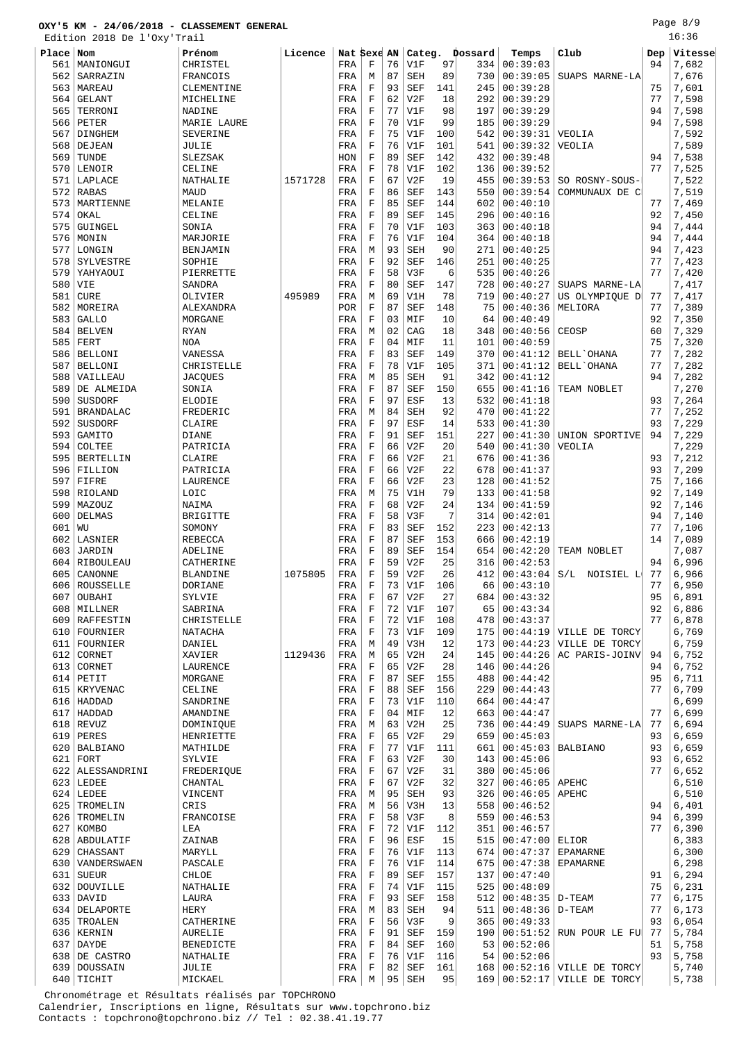Edition 2018 De l'Oxy'Trail

Page 8/9 16:36

|           | Edition 2018 De l'OXY Trail |                    |         |             |             |    |            |     |         |          |                           |     | エロ・コロ   |
|-----------|-----------------------------|--------------------|---------|-------------|-------------|----|------------|-----|---------|----------|---------------------------|-----|---------|
| Place Nom |                             | Prénom             | Licence | Nat Sexe AN |             |    | Categ.     |     | Dossard | Temps    | Club                      | Dep | Vitesse |
| 561       | MANIONGUI                   | CHRISTEL           |         | FRA         | $\mathbf F$ | 76 | V1F        | 97  | 334     | 00:39:03 |                           | 94  | 7,682   |
| 562       | SARRAZIN                    | FRANCOIS           |         | FRA         | М           | 87 | <b>SEH</b> | 89  | 730     | 00:39:05 | SUAPS MARNE-LA            |     | 7,676   |
|           |                             |                    |         |             | $\mathbf F$ | 93 |            | 141 | 245     | 00:39:28 |                           | 75  | 7,601   |
|           | 563   MAREAU                | CLEMENTINE         |         | FRA         |             |    | <b>SEF</b> |     |         |          |                           |     |         |
| 564       | GELANT                      | MICHELINE          |         | FRA         | $\mathbf F$ | 62 | V2F        | 18  | 292     | 00:39:29 |                           | 77  | 7,598   |
| 565       | TERRONI                     | <b>NADINE</b>      |         | FRA         | $\mathbf F$ | 77 | V1F        | 98  | 197     | 00:39:29 |                           | 94  | 7,598   |
| 566       | PETER                       | <b>MARIE LAURE</b> |         | FRA         | F           | 70 | V1F        | 99  | 185     | 00:39:29 |                           | 94  | 7,598   |
| 567       | DINGHEM                     | SEVERINE           |         | FRA         | $\mathbf F$ | 75 | V1F        | 100 | 542     | 00:39:31 | VEOLIA                    |     | 7,592   |
| 568       | DEJEAN                      | JULIE              |         | FRA         | F           | 76 | V1F        | 101 | 541     | 00:39:32 | VEOLIA                    |     | 7,589   |
|           |                             |                    |         |             | $\mathbf F$ |    |            | 142 |         |          |                           |     |         |
| 569       | TUNDE                       | SLEZSAK            |         | HON         |             | 89 | <b>SEF</b> |     | 432     | 00:39:48 |                           | 94  | 7,538   |
| 570       | LENOIR                      | CELINE             |         | FRA         | $\mathbf F$ | 78 | V1F        | 102 | 136     | 00:39:52 |                           | 77  | 7,525   |
| 571       | LAPLACE                     | NATHALIE           | 1571728 | FRA         | $\mathbf F$ | 67 | V2F        | 19  | 455     | 00:39:53 | SO ROSNY-SOUS-            |     | 7,522   |
| 572       | RABAS                       | MAUD               |         | FRA         | $\mathbf F$ | 86 | <b>SEF</b> | 143 | 550     | 00:39:54 | COMMUNAUX DE C            |     | 7,519   |
| 573       | MARTIENNE                   | MELANIE            |         | FRA         | $\mathbf F$ | 85 | <b>SEF</b> | 144 | 602     | 00:40:10 |                           | 77  | 7,469   |
| 574       | OKAL                        | CELINE             |         | FRA         | $\mathbf F$ | 89 | <b>SEF</b> | 145 | 296     | 00:40:16 |                           | 92  | 7,450   |
|           |                             |                    |         |             |             |    |            |     |         |          |                           |     |         |
| 575       | GUINGEL                     | SONIA              |         | FRA         | $\mathbf F$ | 70 | V1F        | 103 | 363     | 00:40:18 |                           | 94  | 7,444   |
| 576       | MONIN                       | MARJORIE           |         | FRA         | $\mathbf F$ | 76 | V1F        | 104 | 364     | 00:40:18 |                           | 94  | 7,444   |
| 577       | LONGIN                      | BENJAMIN           |         | FRA         | M           | 93 | SEH        | 90  | 271     | 00:40:25 |                           | 94  | 7,423   |
| 578       | SYLVESTRE                   | SOPHIE             |         | FRA         | $\mathbf F$ | 92 | SEF        | 146 | 251     | 00:40:25 |                           | 77  | 7,423   |
| 579       | YAHYAOUI                    | PIERRETTE          |         | FRA         | $\mathbf F$ | 58 | V3F        | 6   | 535     | 00:40:26 |                           | 77  | 7,420   |
| 580       | VIE                         | SANDRA             |         | FRA         | $\mathbf F$ | 80 | <b>SEF</b> | 147 | 728     | 00:40:27 | SUAPS MARNE-LA            |     | 7,417   |
|           |                             |                    |         |             |             |    |            |     |         |          |                           |     |         |
| 581       | CURE                        | OLIVIER            | 495989  | FRA         | M           | 69 | V1H        | 78  | 719     | 00:40:27 | US OLYMPIOUE D            | 77  | 7,417   |
| 582       | MOREIRA                     | ALEXANDRA          |         | POR         | $\mathbf F$ | 87 | <b>SEF</b> | 148 | 75      | 00:40:36 | MELIORA                   | 77  | 7,389   |
| 583       | <b>GALLO</b>                | MORGANE            |         | FRA         | $\mathbf F$ | 03 | MIF        | 10  | 64      | 00:40:49 |                           | 92  | 7,350   |
| 584       | <b>BELVEN</b>               | <b>RYAN</b>        |         | FRA         | М           | 02 | CAG        | 18  | 348     | 00:40:56 | CEOSP                     | 60  | 7,329   |
| 585       | FERT                        | <b>NOA</b>         |         | FRA         | $\mathbf F$ | 04 | MIF        | 11  | 101     | 00:40:59 |                           | 75  | 7,320   |
| 586       | BELLONI                     | VANESSA            |         | FRA         | $\mathbf F$ | 83 | SEF        | 149 | 370     | 00:41:12 | <b>BELL</b> OHANA         | 77  | 7,282   |
|           |                             |                    |         |             |             |    |            |     |         |          |                           |     |         |
| 587       | <b>BELLONI</b>              | CHRISTELLE         |         | FRA         | $\mathbf F$ | 78 | V1F        | 105 | 371     | 00:41:12 | BELL'OHANA                | 77  | 7,282   |
| 588       | VAILLEAU                    | <b>JACQUES</b>     |         | FRA         | М           | 85 | SEH        | 91  | 342     | 00:41:12 |                           | 94  | 7,282   |
| 589       | DE ALMEIDA                  | SONIA              |         | FRA         | $\mathbf F$ | 87 | <b>SEF</b> | 150 | 655     | 00:41:16 | TEAM NOBLET               |     | 7,270   |
| 590       | SUSDORF                     | ELODIE             |         | FRA         | $\mathbf F$ | 97 | ESF        | 13  | 532     | 00:41:18 |                           | 93  | 7,264   |
| 591       | <b>BRANDALAC</b>            | FREDERIC           |         | FRA         | М           | 84 | <b>SEH</b> | 92  | 470     | 00:41:22 |                           | 77  | 7,252   |
|           |                             |                    |         |             | $\mathbf F$ | 97 |            |     | 533     |          |                           | 93  |         |
| 592       | SUSDORF                     | CLAIRE             |         | FRA         |             |    | ESF        | 14  |         | 00:41:30 |                           |     | 7,229   |
| 593       | GAMITO                      | <b>DIANE</b>       |         | FRA         | $\mathbf F$ | 91 | <b>SEF</b> | 151 | 227     | 00:41:30 | UNION SPORTIVE            | 94  | 7,229   |
| 594       | COLTEE                      | PATRICIA           |         | FRA         | $\mathbf F$ | 66 | V2F        | 20  | 540     | 00:41:30 | VEOLIA                    |     | 7,229   |
| 595       | BERTELLIN                   | CLAIRE             |         | FRA         | $\mathbf F$ | 66 | V2F        | 21  | 676     | 00:41:36 |                           | 93  | 7,212   |
|           | 596 FILLION                 | PATRICIA           |         | FRA         | F           | 66 | V2F        | 22  | 678     | 00:41:37 |                           | 93  | 7,209   |
| 597       | FIFRE                       | LAURENCE           |         | FRA         | $\mathbf F$ | 66 | V2F        | 23  | 128     | 00:41:52 |                           | 75  | 7,166   |
| 598       | RIOLAND                     | LOIC               |         | FRA         | М           | 75 | V1H        | 79  | 133     | 00:41:58 |                           | 92  | 7,149   |
|           |                             |                    |         |             |             |    |            |     |         |          |                           |     |         |
| 599       | MAZOUZ                      | NAIMA              |         | FRA         | $\mathbf F$ | 68 | V2F        | 24  | 134     | 00:41:59 |                           | 92  | 7,146   |
| 600       | <b>DELMAS</b>               | <b>BRIGITTE</b>    |         | FRA         | F           | 58 | V3F        | 7   | 314     | 00:42:01 |                           | 94  | 7,140   |
| 601       | WU                          | SOMONY             |         | FRA         | $\mathbf F$ | 83 | <b>SEF</b> | 152 | 223     | 00:42:13 |                           | 77  | 7,106   |
| 602       | LASNIER                     | <b>REBECCA</b>     |         | FRA         | $\mathbf F$ | 87 | <b>SEF</b> | 153 | 666     | 00:42:19 |                           | 14  | 7,089   |
| 603       | JARDIN                      | ADELINE            |         | FRA         | $\mathbf F$ | 89 | SEF        | 154 | 654     | 00:42:20 | TEAM NOBLET               |     | 7,087   |
|           | 604 RIBOULEAU               | CATHERINE          |         | FRA         | F           | 59 | V2F        | 25  | 316     | 00:42:53 |                           | 94  | 6,996   |
|           |                             |                    |         |             |             |    |            |     |         |          |                           |     |         |
| 605       | CANONNE                     | <b>BLANDINE</b>    | 1075805 | FRA         | $\mathbf F$ | 59 | V2F        | 26  | 412     | 00:43:04 | S/L<br>NOISIEL L          | 77  | 6,966   |
|           | 606 ROUSSELLE               | <b>DORIANE</b>     |         | FRA         | $\mathbf F$ | 73 | V1F        | 106 | 66      | 00:43:10 |                           | 77  | 6,950   |
|           | 607   OUBAHI                | SYLVIE             |         | FRA         | F           | 67 | V2F        | 27  | 684     | 00:43:32 |                           | 95  | 6,891   |
|           | 608   MILLNER               | SABRINA            |         | FRA         | F           | 72 | V1F        | 107 | 65      | 00:43:34 |                           | 92  | 6,886   |
|           | 609 RAFFESTIN               | CHRISTELLE         |         | FRA         | $\mathbf F$ | 72 | V1F        | 108 | 478     | 00:43:37 |                           | 77  | 6,878   |
|           | 610   FOURNIER              | <b>NATACHA</b>     |         | FRA         | $\mathbf F$ | 73 | V1F        | 109 | 175     | 00:44:19 | VILLE DE TORCY            |     | 6,769   |
|           | 611 FOURNIER                | DANIEL             |         | FRA         | М           | 49 | V3H        | 12  | 173     | 00:44:23 | VILLE DE TORCY            |     | 6,759   |
|           |                             |                    |         |             |             |    |            |     |         |          |                           |     | 6,752   |
|           | 612 CORNET                  | XAVIER             | 1129436 | FRA         | М           | 65 | V2H        | 24  | 145     | 00:44:26 | AC PARIS-JOINV            | 94  |         |
|           | 613 CORNET                  | LAURENCE           |         | FRA         | $\mathbf F$ | 65 | V2F        | 28  | 146     | 00:44:26 |                           | 94  | 6,752   |
|           | $614$ PETIT                 | MORGANE            |         | FRA         | $\mathbf F$ | 87 | <b>SEF</b> | 155 | 488     | 00:44:42 |                           | 95  | 6,711   |
|           | 615   KRYVENAC              | CELINE             |         | FRA         | $\mathbf F$ | 88 | <b>SEF</b> | 156 | 229     | 00:44:43 |                           | 77  | 6,709   |
|           | 616   HADDAD                | SANDRINE           |         | FRA         | $\mathbf F$ | 73 | V1F        | 110 | 664     | 00:44:47 |                           |     | 6,699   |
|           | 617   HADDAD                | AMANDINE           |         | FRA         | $\mathbf F$ | 04 | MIF        | 12  | 663     | 00:44:47 |                           | 77  | 6,699   |
|           | $618$ REVUZ                 | DOMINIOUE          |         | FRA         | М           | 63 | V2H        | 25  | 736     | 00:44:49 | SUAPS MARNE-LA            | 77  | 6,694   |
|           | 619 PERES                   | HENRIETTE          |         | FRA         | $\mathbf F$ | 65 | V2F        | 29  | 659     | 00:45:03 |                           | 93  | 6,659   |
|           |                             |                    |         |             |             |    |            |     |         |          |                           |     |         |
|           | 620   BALBIANO              | MATHILDE           |         | FRA         | $\mathbf F$ | 77 | V1F        | 111 | 661     | 00:45:03 | <b>BALBIANO</b>           | 93  | 6,659   |
| 621       | FORT                        | SYLVIE             |         | FRA         | F           | 63 | V2F        | 30  | 143     | 00:45:06 |                           | 93  | 6,652   |
|           | 622   ALESSANDRINI          | FREDERIQUE         |         | FRA         | $\mathbf F$ | 67 | V2F        | 31  | 380     | 00:45:06 |                           | 77  | 6,652   |
|           | $623$ LEDEE                 | CHANTAL            |         | FRA         | F           | 67 | V2F        | 32  | 327     | 00:46:05 | APEHC                     |     | 6,510   |
|           | $624$ LEDEE                 | VINCENT            |         | FRA         | M           | 95 | <b>SEH</b> | 93  | 326     | 00:46:05 | APEHC                     |     | 6,510   |
| 625       | TROMELIN                    | CRIS               |         | FRA         | М           | 56 | V3H        | 13  | 558     | 00:46:52 |                           | 94  | 6,401   |
|           |                             |                    |         |             |             |    |            |     |         |          |                           |     |         |
|           | 626   TROMELIN              | FRANCOISE          |         | FRA         | $\mathbf F$ | 58 | V3F        | 8   | 559     | 00:46:53 |                           | 94  | 6,399   |
|           | 627 KOMBO                   | LEA                |         | FRA         | $\mathbf F$ | 72 | V1F        | 112 | 351     | 00:46:57 |                           | 77  | 6,390   |
|           | 628   ABDULATIF             | ZAINAB             |         | FRA         | $\mathbf F$ | 96 | ESF        | 15  | 515     | 00:47:00 | ELIOR                     |     | 6,383   |
|           | 629 CHASSANT                | MARYLL             |         | FRA         | $\mathbf F$ | 76 | V1F        | 113 | 674     | 00:47:37 | <b>EPAMARNE</b>           |     | 6,300   |
|           | 630   VANDERSWAEN           | PASCALE            |         | FRA         | F           | 76 | V1F        | 114 | 675     | 00:47:38 | <b>EPAMARNE</b>           |     | 6,298   |
| 631       | SUEUR                       | CHLOE              |         | FRA         | $\mathbf F$ | 89 | <b>SEF</b> | 157 | 137     | 00:47:40 |                           | 91  | 6,294   |
|           | 632 DOUVILLE                | NATHALIE           |         | FRA         | $\mathbf F$ | 74 | V1F        | 115 | 525     | 00:48:09 |                           | 75  | 6,231   |
|           |                             |                    |         |             |             |    |            |     |         |          |                           |     |         |
|           | 633 DAVID                   | LAURA              |         | FRA         | $\mathbf F$ | 93 | <b>SEF</b> | 158 | 512     | 00:48:35 | D-TEAM                    | 77  | 6,175   |
|           | 634   DELAPORTE             | <b>HERY</b>        |         | FRA         | М           | 83 | SEH        | 94  | 511     | 00:48:36 | D-TEAM                    | 77  | 6,173   |
|           | 635   TROALEN               | CATHERINE          |         | FRA         | $\mathbf F$ | 56 | V3F        | 9   | 365     | 00:49:33 |                           | 93  | 6,054   |
|           | 636   KERNIN                | <b>AURELIE</b>     |         | FRA         | $\mathbf F$ | 91 | <b>SEF</b> | 159 | 190     | 00:51:52 | RUN POUR LE FU            | 77  | 5,784   |
|           | 637 DAYDE                   | <b>BENEDICTE</b>   |         | FRA         | $\mathbf F$ | 84 | <b>SEF</b> | 160 | 53      | 00:52:06 |                           | 51  | 5,758   |
|           | 638 DE CASTRO               | NATHALIE           |         | FRA         | $\mathbf F$ | 76 | V1F        | 116 | 54      | 00:52:06 |                           | 93  | 5,758   |
| 639       | DOUSSAIN                    | JULIE              |         | FRA         | F           | 82 | <b>SEF</b> | 161 | 168     | 00:52:16 | VILLE DE TORCY            |     | 5,740   |
|           |                             |                    |         |             |             |    |            |     |         |          |                           |     |         |
|           | 640 TICHIT                  | MICKAEL            |         | FRA         | М           | 95 | SEH        | 95  | 169     |          | $00:52:17$ VILLE DE TORCY |     | 5,738   |